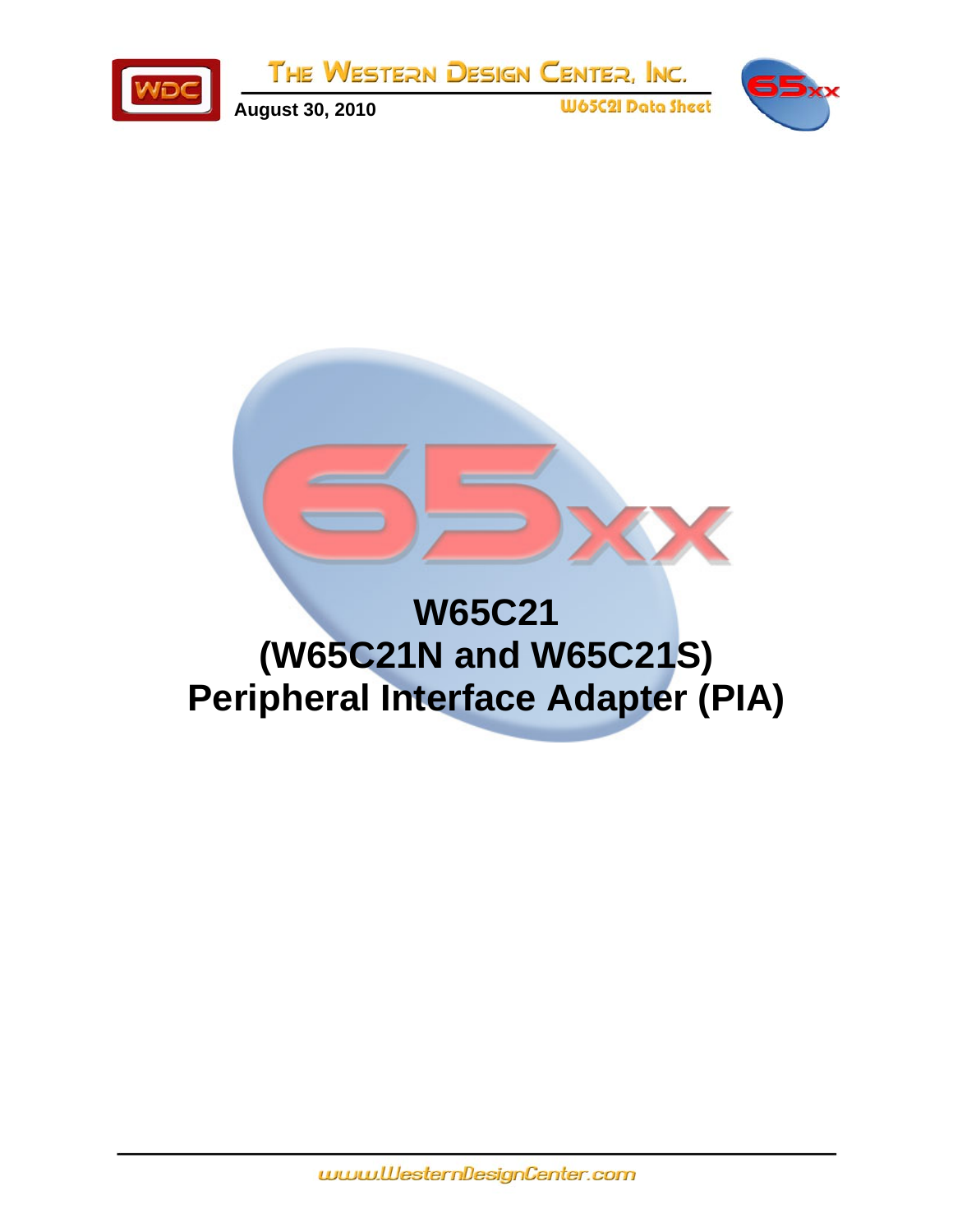

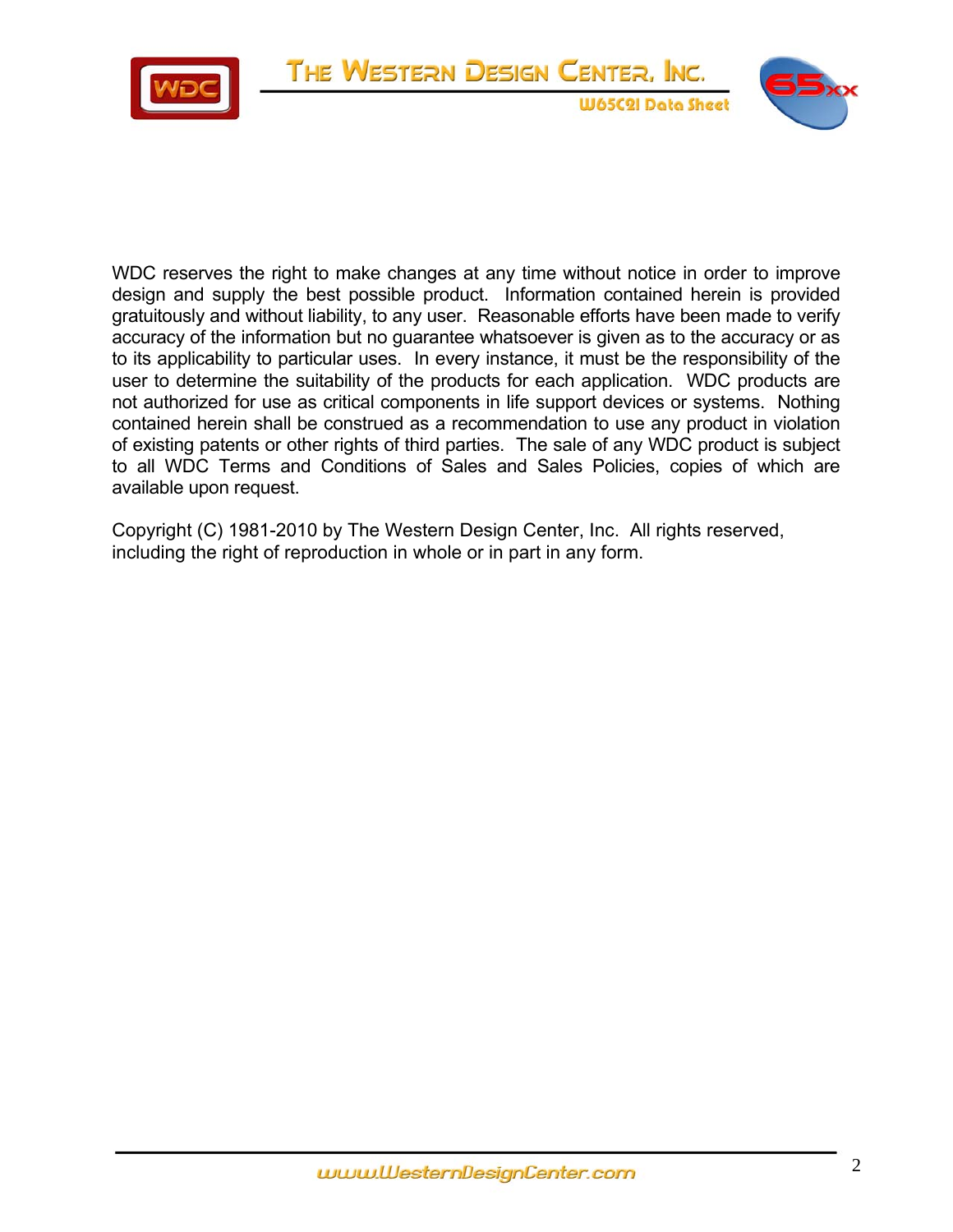

WDC reserves the right to make changes at any time without notice in order to improve design and supply the best possible product. Information contained herein is provided gratuitously and without liability, to any user. Reasonable efforts have been made to verify accuracy of the information but no guarantee whatsoever is given as to the accuracy or as to its applicability to particular uses. In every instance, it must be the responsibility of the user to determine the suitability of the products for each application. WDC products are not authorized for use as critical components in life support devices or systems. Nothing contained herein shall be construed as a recommendation to use any product in violation of existing patents or other rights of third parties. The sale of any WDC product is subject to all WDC Terms and Conditions of Sales and Sales Policies, copies of which are available upon request.

Copyright (C) 1981-2010 by The Western Design Center, Inc. All rights reserved, including the right of reproduction in whole or in part in any form.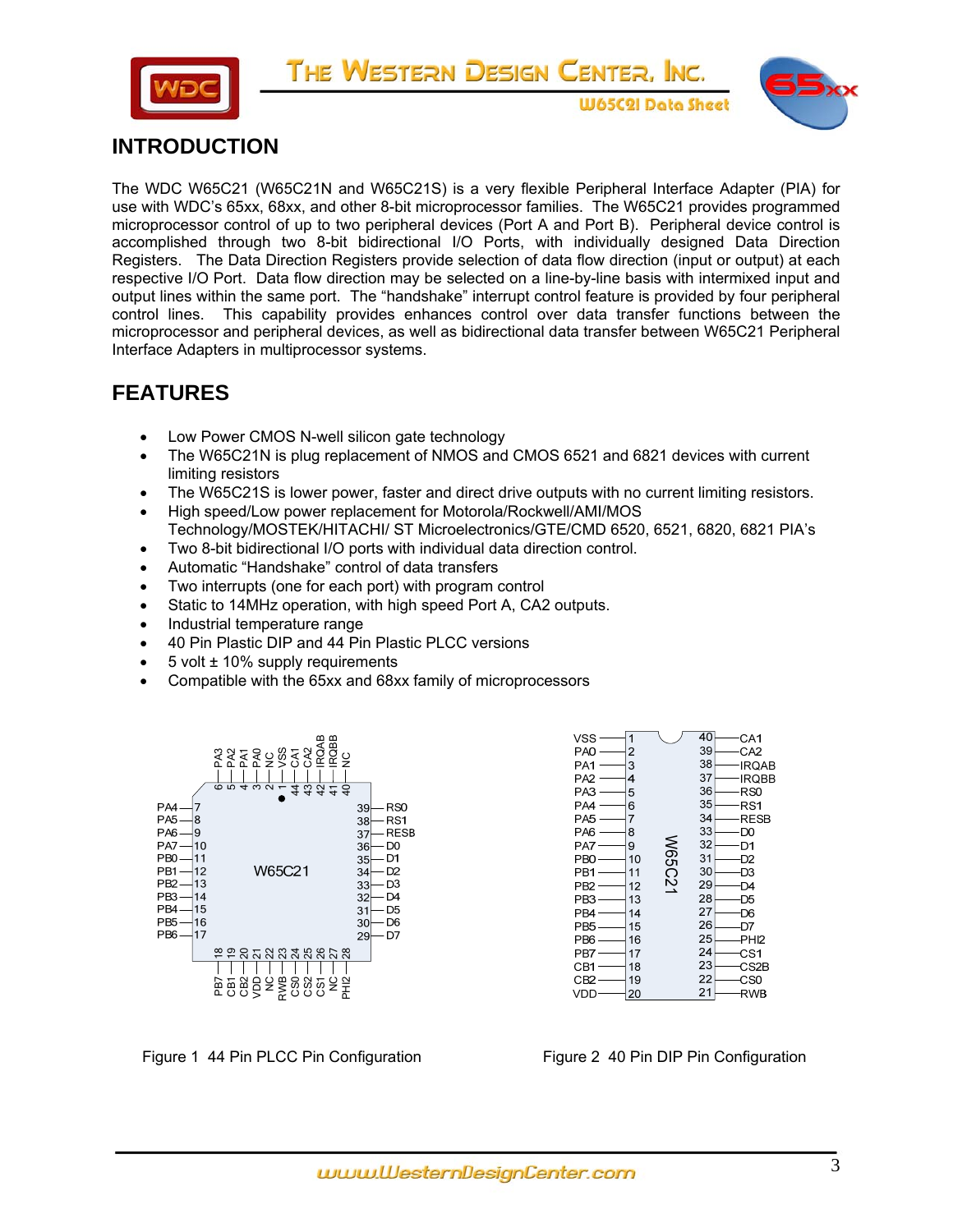



**W65C2I Data Sheet** 

# **INTRODUCTION**

The WDC W65C21 (W65C21N and W65C21S) is a very flexible Peripheral Interface Adapter (PIA) for use with WDC's 65xx, 68xx, and other 8-bit microprocessor families. The W65C21 provides programmed microprocessor control of up to two peripheral devices (Port A and Port B). Peripheral device control is accomplished through two 8-bit bidirectional I/O Ports, with individually designed Data Direction Registers. The Data Direction Registers provide selection of data flow direction (input or output) at each respective I/O Port. Data flow direction may be selected on a line-by-line basis with intermixed input and output lines within the same port. The "handshake" interrupt control feature is provided by four peripheral control lines. This capability provides enhances control over data transfer functions between the microprocessor and peripheral devices, as well as bidirectional data transfer between W65C21 Peripheral Interface Adapters in multiprocessor systems.

# **FEATURES**

- Low Power CMOS N-well silicon gate technology
- The W65C21N is plug replacement of NMOS and CMOS 6521 and 6821 devices with current limiting resistors
- The W65C21S is lower power, faster and direct drive outputs with no current limiting resistors.
- High speed/Low power replacement for Motorola/Rockwell/AMI/MOS Technology/MOSTEK/HITACHI/ ST Microelectronics/GTE/CMD 6520, 6521, 6820, 6821 PIA's
- Two 8-bit bidirectional I/O ports with individual data direction control.
- Automatic "Handshake" control of data transfers
- Two interrupts (one for each port) with program control
- Static to 14MHz operation, with high speed Port A, CA2 outputs.
- Industrial temperature range
- 40 Pin Plastic DIP and 44 Pin Plastic PLCC versions
- $\bullet$  5 volt  $\pm$  10% supply requirements
- Compatible with the 65xx and 68xx family of microprocessors





Figure 1 44 Pin PLCC Pin Configuration Figure 2 40 Pin DIP Pin Configuration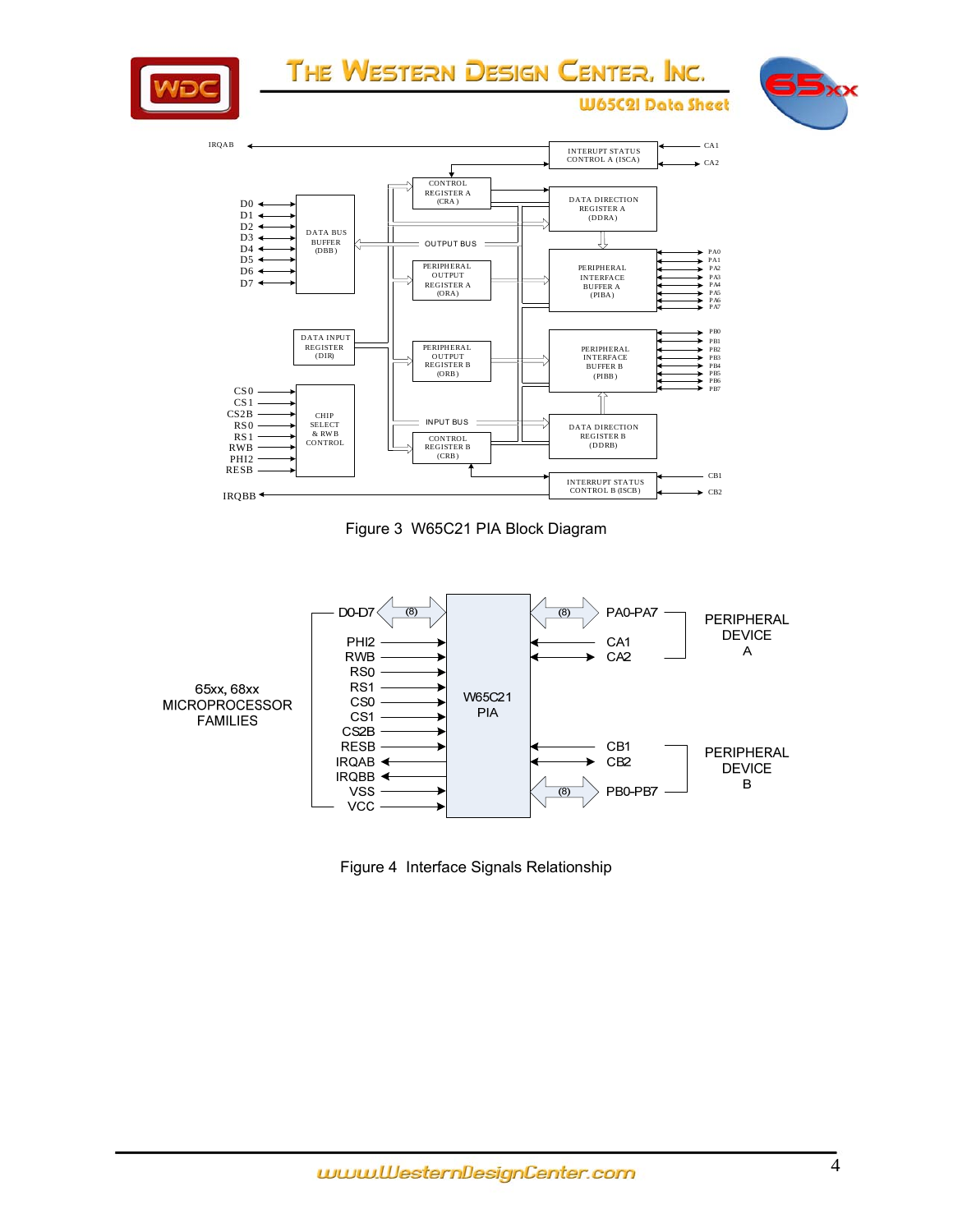



Figure 3 W65C21 PIA Block Diagram



Figure 4 Interface Signals Relationship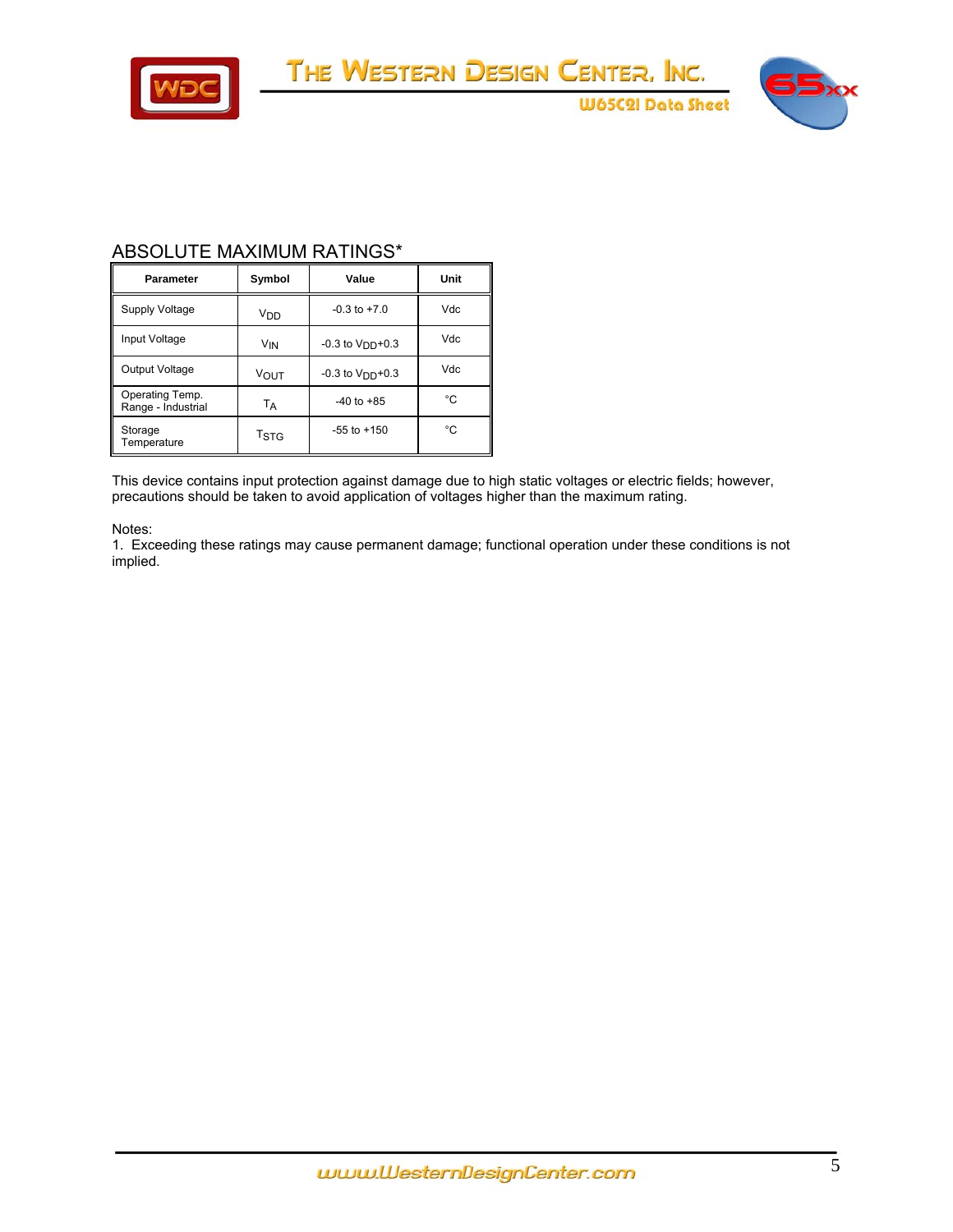

**W65C2I Data Sheet** 

## ABSOLUTE MAXIMUM RATINGS\*

| <b>Parameter</b>                           | Symbol          | Value               | Unit |
|--------------------------------------------|-----------------|---------------------|------|
| Supply Voltage                             | V <sub>DD</sub> | $-0.3$ to $+7.0$    | Vdc  |
| Input Voltage<br>V <sub>IN</sub>           |                 | $-0.3$ to $VDD+0.3$ | Vdc  |
| Output Voltage                             | <b>VOUT</b>     | $-0.3$ to $VDD+0.3$ | Vdc  |
| Operating Temp.<br>Range - Industrial      | TA              | $-40$ to $+85$      | °C   |
| Storage<br>T <sub>STG</sub><br>Temperature |                 | $-55$ to $+150$     | °C   |

This device contains input protection against damage due to high static voltages or electric fields; however, precautions should be taken to avoid application of voltages higher than the maximum rating.

Notes:

1. Exceeding these ratings may cause permanent damage; functional operation under these conditions is not implied.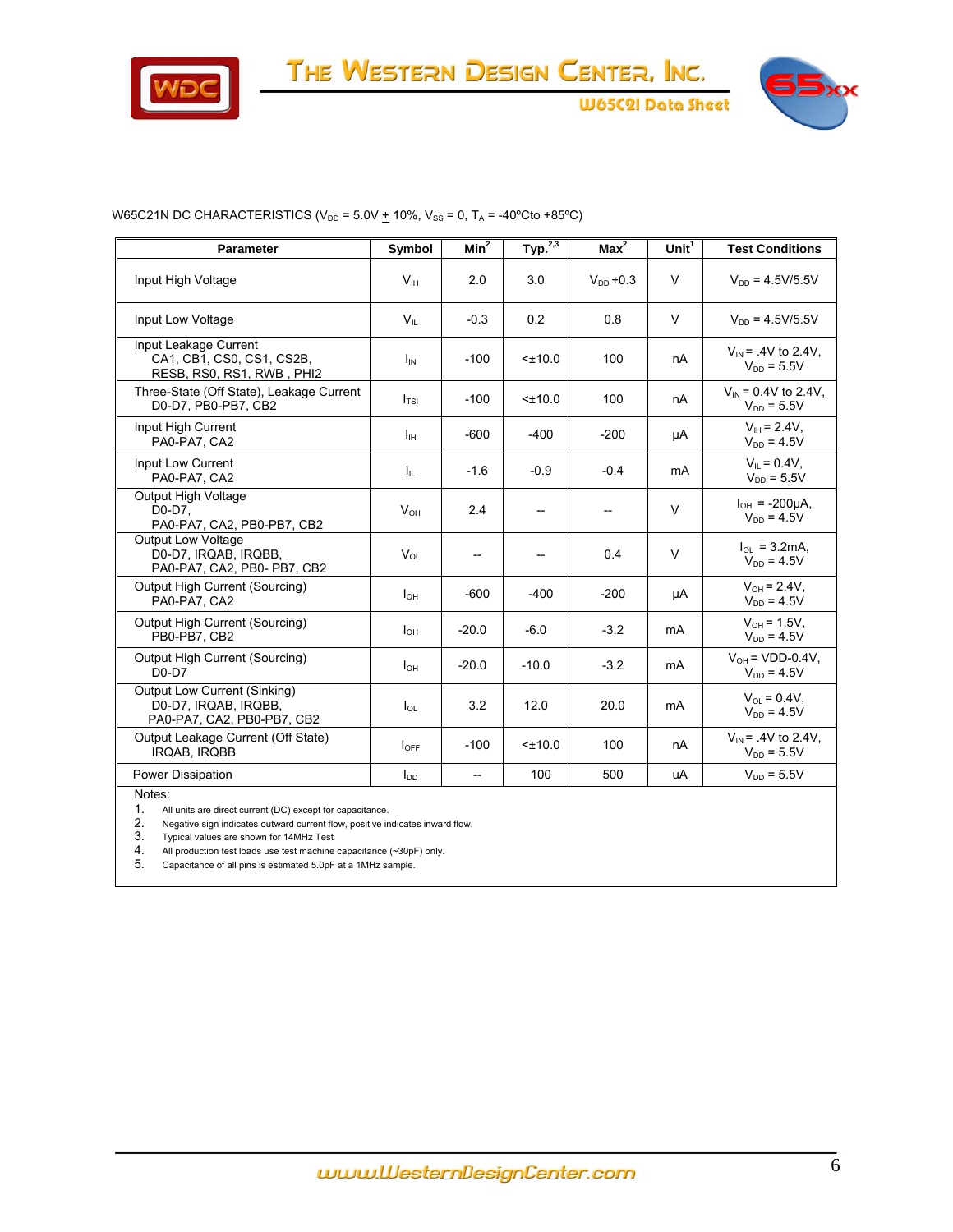



#### W65C21N DC CHARACTERISTICS ( $V_{DD}$  = 5.0V  $+$  10%,  $V_{SS}$  = 0,  $T_A$  = -40°Cto +85°C)

| <b>Parameter</b>                                                                   | Symbol           | $Min^2$                  | Typ. <sup>2,3</sup> | $Max^2$       | Unit $1$ | <b>Test Conditions</b>                             |
|------------------------------------------------------------------------------------|------------------|--------------------------|---------------------|---------------|----------|----------------------------------------------------|
| Input High Voltage                                                                 | V <sub>IH</sub>  | 2.0                      | 3.0                 | $V_{DD}$ +0.3 | V        | $V_{DD} = 4.5V/5.5V$                               |
| Input Low Voltage                                                                  | $V_{\parallel}$  | $-0.3$                   | 0.2                 | 0.8           | V        | $V_{DD} = 4.5V/5.5V$                               |
| Input Leakage Current<br>CA1, CB1, CS0, CS1, CS2B,<br>RESB, RS0, RS1, RWB, PHI2    | $I_{IN}$         | $-100$                   | $< \pm 10.0$        | 100           | nA       | $V_{IN}$ = .4V to 2.4V,<br>$V_{DD} = 5.5V$         |
| Three-State (Off State), Leakage Current<br>D0-D7, PB0-PB7, CB2                    | I <sub>TSI</sub> | $-100$                   | $< \pm 10.0$        | 100           | nA       | $V_{\text{IN}}$ = 0.4V to 2.4V.<br>$V_{DD} = 5.5V$ |
| Input High Current<br>PA0-PA7, CA2                                                 | $I_{\rm IH}$     | $-600$                   | $-400$              | $-200$        | μA       | $V_{\text{H}} = 2.4V,$<br>$V_{DD} = 4.5V$          |
| Input Low Current<br>PA0-PA7, CA2                                                  | Ιm.              | $-1.6$                   | $-0.9$              | $-0.4$        | mA       | $V_{\parallel} = 0.4V$ ,<br>$V_{DD} = 5.5V$        |
| <b>Output High Voltage</b><br>D0-D7.<br>PA0-PA7, CA2, PB0-PB7, CB2                 | $V_{OH}$         | 2.4                      |                     |               | V        | $I_{OH}$ = -200µA.<br>$V_{DD} = 4.5V$              |
| <b>Output Low Voltage</b><br>D0-D7, IRQAB, IRQBB,<br>PA0-PA7, CA2, PB0- PB7, CB2   | $V_{OL}$         |                          |                     | 0.4           | $\vee$   | $I_{OL}$ = 3.2mA,<br>$V_{DD} = 4.5V$               |
| Output High Current (Sourcing)<br>PA0-PA7, CA2                                     | $I_{OH}$         | $-600$                   | $-400$              | $-200$        | μA       | $V_{OH} = 2.4V$ ,<br>$V_{DD} = 4.5V$               |
| Output High Current (Sourcing)<br>PB0-PB7, CB2                                     | $I_{OH}$         | $-20.0$                  | $-6.0$              | $-3.2$        | mA       | $V_{OH} = 1.5V$ ,<br>$V_{DD} = 4.5V$               |
| Output High Current (Sourcing)<br>$D0-D7$                                          | $I_{OH}$         | $-20.0$                  | $-10.0$             | $-3.2$        | mA       | $V_{OH}$ = VDD-0.4V,<br>$V_{DD} = 4.5V$            |
| Output Low Current (Sinking)<br>D0-D7, IRQAB, IRQBB,<br>PA0-PA7, CA2, PB0-PB7, CB2 | $I_{OL}$         | 3.2                      | 12.0                | 20.0          | mA       | $V_{\Omega} = 0.4V$ ,<br>$V_{DD} = 4.5V$           |
| Output Leakage Current (Off State)<br>IRQAB, IRQBB                                 | $I_{OFF}$        | $-100$                   | $< \pm 10.0$        | 100           | nA       | $V_{IN}$ = .4V to 2.4V,<br>$V_{DD} = 5.5V$         |
| Power Dissipation                                                                  | $I_{DD}$         | $\overline{\phantom{a}}$ | 100                 | 500           | uA       | $V_{DD} = 5.5V$                                    |

Notes:

1. All units are direct current (DC) except for capacitance.

2. Negative sign indicates outward current flow, positive indicates inward flow.

3. Typical values are shown for 14MHz Test

4. All production test loads use test machine capacitance (~30pF) only.

5. Capacitance of all pins is estimated 5.0pF at a 1MHz sample.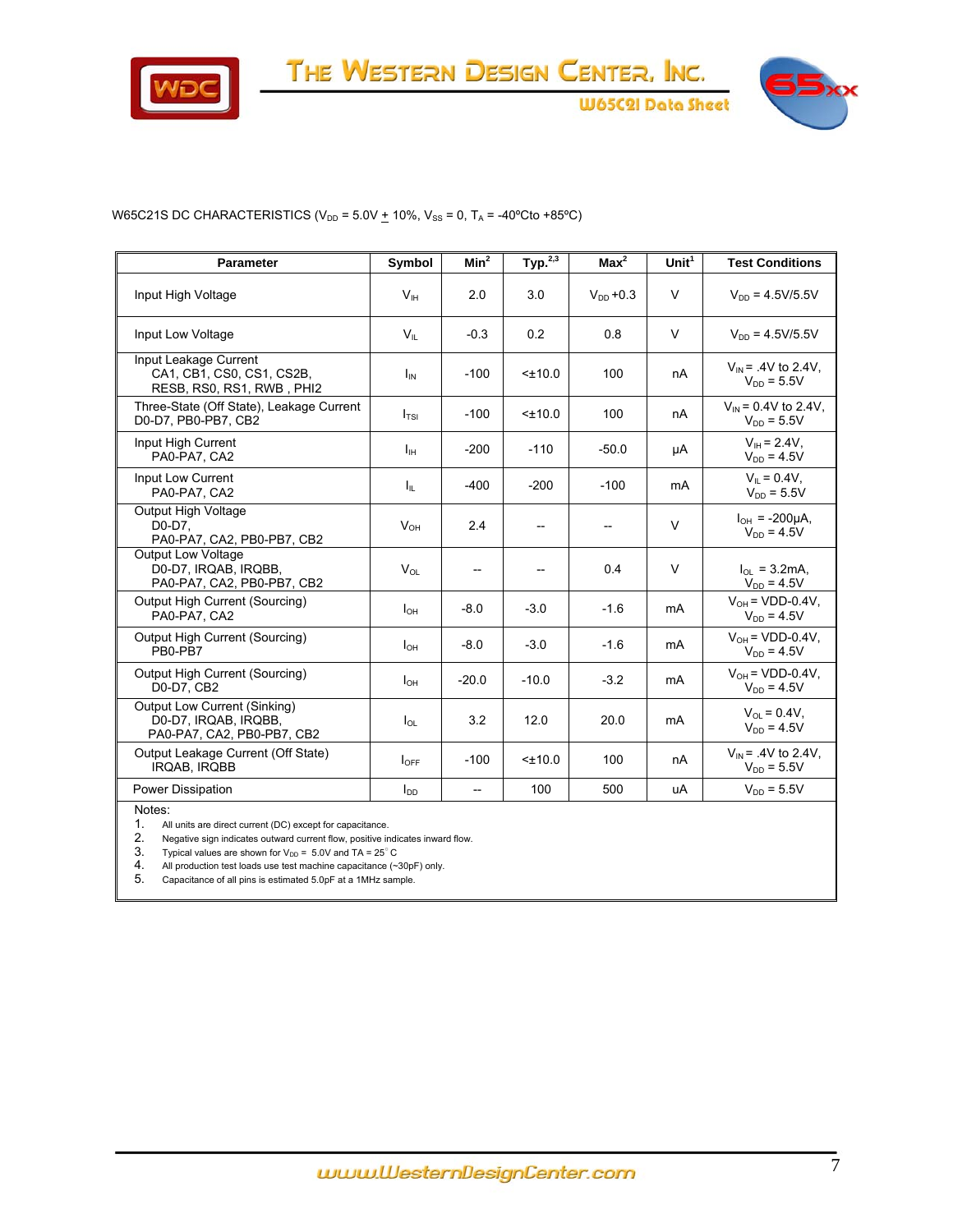



**W65C2I Data Sheet** 

#### W65C21S DC CHARACTERISTICS ( $V_{DD}$  = 5.0V  $+$  10%,  $V_{SS}$  = 0,  $T_A$  = -40°Cto +85°C)

| <b>Parameter</b>                                                                   | Symbol           | Min <sup>2</sup>         | Type <sup>2,3</sup> | Max <sup>2</sup> | Unit $1$ | <b>Test Conditions</b>                      |
|------------------------------------------------------------------------------------|------------------|--------------------------|---------------------|------------------|----------|---------------------------------------------|
| Input High Voltage                                                                 | V <sub>H</sub>   | 2.0                      | 3.0                 | $V_{DD}$ +0.3    | V        | $V_{DD} = 4.5V/5.5V$                        |
| Input Low Voltage                                                                  | $V_{\parallel}$  | $-0.3$                   | 0.2                 | 0.8              | V        | $V_{DD} = 4.5V/5.5V$                        |
| Input Leakage Current<br>CA1, CB1, CS0, CS1, CS2B,<br>RESB, RS0, RS1, RWB, PHI2    | $I_{\text{IN}}$  | $-100$                   | $< \pm 10.0$        | 100              | nA       | $V_{IN} = .4V$ to 2.4V.<br>$V_{DD} = 5.5V$  |
| Three-State (Off State), Leakage Current<br>D0-D7, PB0-PB7, CB2                    | I <sub>TSI</sub> | $-100$                   | $<$ ±10.0           | 100              | nA       | $V_{IN}$ = 0.4V to 2.4V,<br>$V_{DD} = 5.5V$ |
| Input High Current<br>PA0-PA7, CA2                                                 | Iн               | $-200$                   | $-110$              | $-50.0$          | μA       | $V_{\text{IH}} = 2.4V$ ,<br>$V_{DD} = 4.5V$ |
| Input Low Current<br>PA0-PA7, CA2                                                  | Ιı               | $-400$                   | $-200$              | $-100$           | mA       | $V_{\parallel} = 0.4V$ .<br>$V_{DD} = 5.5V$ |
| Output High Voltage<br>D0-D7.<br>PA0-PA7, CA2, PB0-PB7, CB2                        | $V_{OH}$         | 2.4                      | $-$                 | --               | V        | $I_{OH}$ = -200µA,<br>$V_{DD} = 4.5V$       |
| <b>Output Low Voltage</b><br>D0-D7, IRQAB, IRQBB,<br>PA0-PA7, CA2, PB0-PB7, CB2    | $V_{OL}$         | $\overline{\phantom{a}}$ |                     | 0.4              | V        | $I_{OL}$ = 3.2mA,<br>$V_{DD} = 4.5V$        |
| Output High Current (Sourcing)<br>PA0-PA7, CA2                                     | $I_{OH}$         | $-8.0$                   | $-3.0$              | $-1.6$           | mA       | $V_{OH}$ = VDD-0.4V,<br>$V_{DD} = 4.5V$     |
| Output High Current (Sourcing)<br>PB0-PB7                                          | $I_{OH}$         | $-8.0$                   | $-3.0$              | $-1.6$           | mA       | $V_{OH}$ = VDD-0.4V,<br>$V_{DD} = 4.5V$     |
| Output High Current (Sourcing)<br>D0-D7, CB2                                       | $I_{OH}$         | $-20.0$                  | $-10.0$             | $-3.2$           | mA       | $V_{OH}$ = VDD-0.4V.<br>$V_{DD} = 4.5V$     |
| Output Low Current (Sinking)<br>D0-D7, IRQAB, IRQBB,<br>PA0-PA7, CA2, PB0-PB7, CB2 | $I_{OL}$         | 3.2                      | 12.0                | 20.0             | mA       | $V_{\Omega} = 0.4V$ ,<br>$V_{DD} = 4.5V$    |
| Output Leakage Current (Off State)<br>IRQAB, IRQBB                                 | $I_{\text{OFF}}$ | $-100$                   | $<$ ±10.0           | 100              | nA       | $V_{IN}$ = .4V to 2.4V,<br>$V_{DD} = 5.5V$  |
| Power Dissipation                                                                  | $I_{DD}$         | $\overline{\phantom{a}}$ | 100                 | 500              | uA       | $V_{DD} = 5.5V$                             |
| Notes:                                                                             |                  |                          |                     |                  |          |                                             |

1. All units are direct current (DC) except for capacitance.<br>2. Negative sign indicates outward current flow, positive in 2. Negative sign indicates outward current flow, positive indicates inward flow.<br>3. Typical values are shown for  $V_{DD} = 5.0V$  and TA = 25° C

3. Typical values are shown for  $V_{DD} = 5.0V$  and TA = 25° C<br>4. All production test loads use test machine capacitance (~3

4. All production test loads use test machine capacitance (~30pF) only.<br>5. Capacitance of all pins is estimated 5.0pF at a 1MHz sample.

5. Capacitance of all pins is estimated 5.0pF at a 1MHz sample.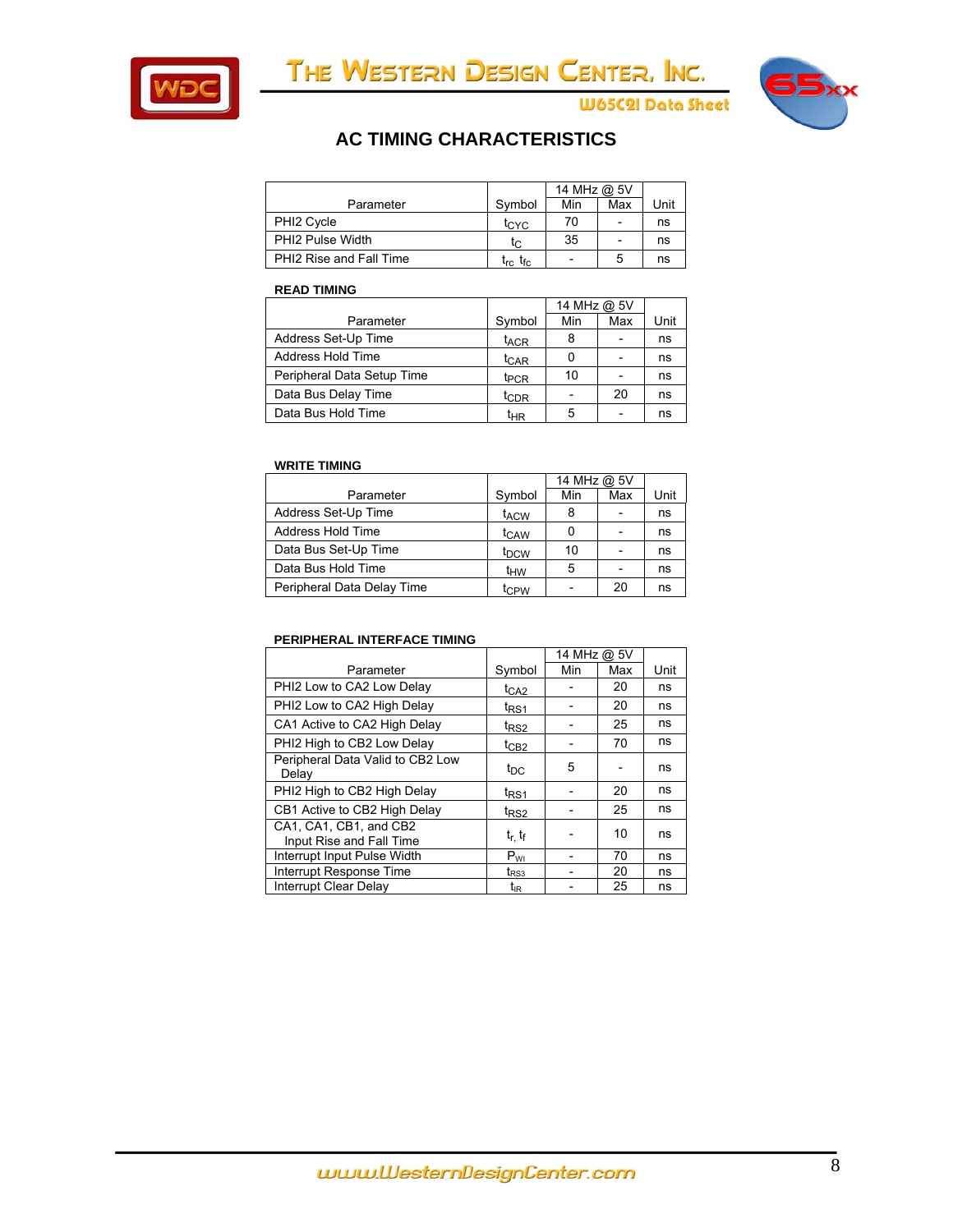



**W65C2I Data Sheet** 

# **AC TIMING CHARACTERISTICS**

|                         |                                                           | 14 MHz @ 5V              |                          |      |
|-------------------------|-----------------------------------------------------------|--------------------------|--------------------------|------|
| Parameter               | Symbol                                                    | Min                      | Max                      | Unit |
| PHI <sub>2</sub> Cycle  | tcyc                                                      | 70                       | $\overline{\phantom{a}}$ | ns   |
| <b>PHI2 Pulse Width</b> | tc                                                        | 35                       | $\overline{\phantom{a}}$ | ns   |
| PHI2 Rise and Fall Time | $\mathfrak{t}_{\mathsf{rc}}$ $\mathfrak{t}_{\mathsf{fc}}$ | $\overline{\phantom{a}}$ | 5                        | ns   |

#### **READ TIMING**

|                            |                  | 14 MHz @ 5V |                          |      |
|----------------------------|------------------|-------------|--------------------------|------|
| Parameter                  | Symbol           | Min         | Max                      | Unit |
| Address Set-Up Time        | t <sub>ACR</sub> | 8           | $\overline{\phantom{0}}$ | ns   |
| Address Hold Time          | t <sub>CAR</sub> |             | $\blacksquare$           | ns   |
| Peripheral Data Setup Time | t <sub>PCR</sub> | 10          |                          | ns   |
| Data Bus Delay Time        | t <sub>CDR</sub> |             | 20                       | ns   |
| Data Bus Hold Time         | tнR              | 5           | $\overline{\phantom{0}}$ | ns   |

#### **WRITE TIMING**

|                            |                  | 14 MHz @ 5V |     |      |
|----------------------------|------------------|-------------|-----|------|
| Parameter                  | Symbol           | Min         | Max | Unit |
| Address Set-Up Time        | t <sub>ACW</sub> | 8           |     | ns   |
| Address Hold Time          | t <sub>CAW</sub> | 0           |     | ns   |
| Data Bus Set-Up Time       | t <sub>DCW</sub> | 10          |     | ns   |
| Data Bus Hold Time         | tнw              | 5           |     | ns   |
| Peripheral Data Delay Time | tcpw             |             | 20  | ns   |

#### **PERIPHERAL INTERFACE TIMING**

|                                                    |                   | 14 MHz @ 5V |     |      |
|----------------------------------------------------|-------------------|-------------|-----|------|
| Parameter                                          | Symbol            | Min         | Max | Unit |
| PHI2 Low to CA2 Low Delay                          | t <sub>CA2</sub>  |             | 20  | ns   |
| PHI2 Low to CA2 High Delay                         | t <sub>RS1</sub>  |             | 20  | ns   |
| CA1 Active to CA2 High Delay                       | t <sub>RS2</sub>  |             | 25  | ns   |
| PHI2 High to CB2 Low Delay                         | $t_{CB2}$         |             | 70  | ns   |
| Peripheral Data Valid to CB2 Low<br>Delay          | t <sub>DC</sub>   | 5           |     | ns   |
| PHI2 High to CB2 High Delay                        | t <sub>RS1</sub>  |             | 20  | ns   |
| CB1 Active to CB2 High Delay                       | t <sub>RS2</sub>  |             | 25  | ns   |
| CA1, CA1, CB1, and CB2<br>Input Rise and Fall Time | $t_{r}$ , $t_{f}$ |             | 10  | ns   |
| Interrupt Input Pulse Width                        | $P_{VI}$          |             | 70  | ns   |
| Interrupt Response Time                            | $t_{RS3}$         |             | 20  | ns   |
| Interrupt Clear Delay                              | $t_{IR}$          |             | 25  | ns   |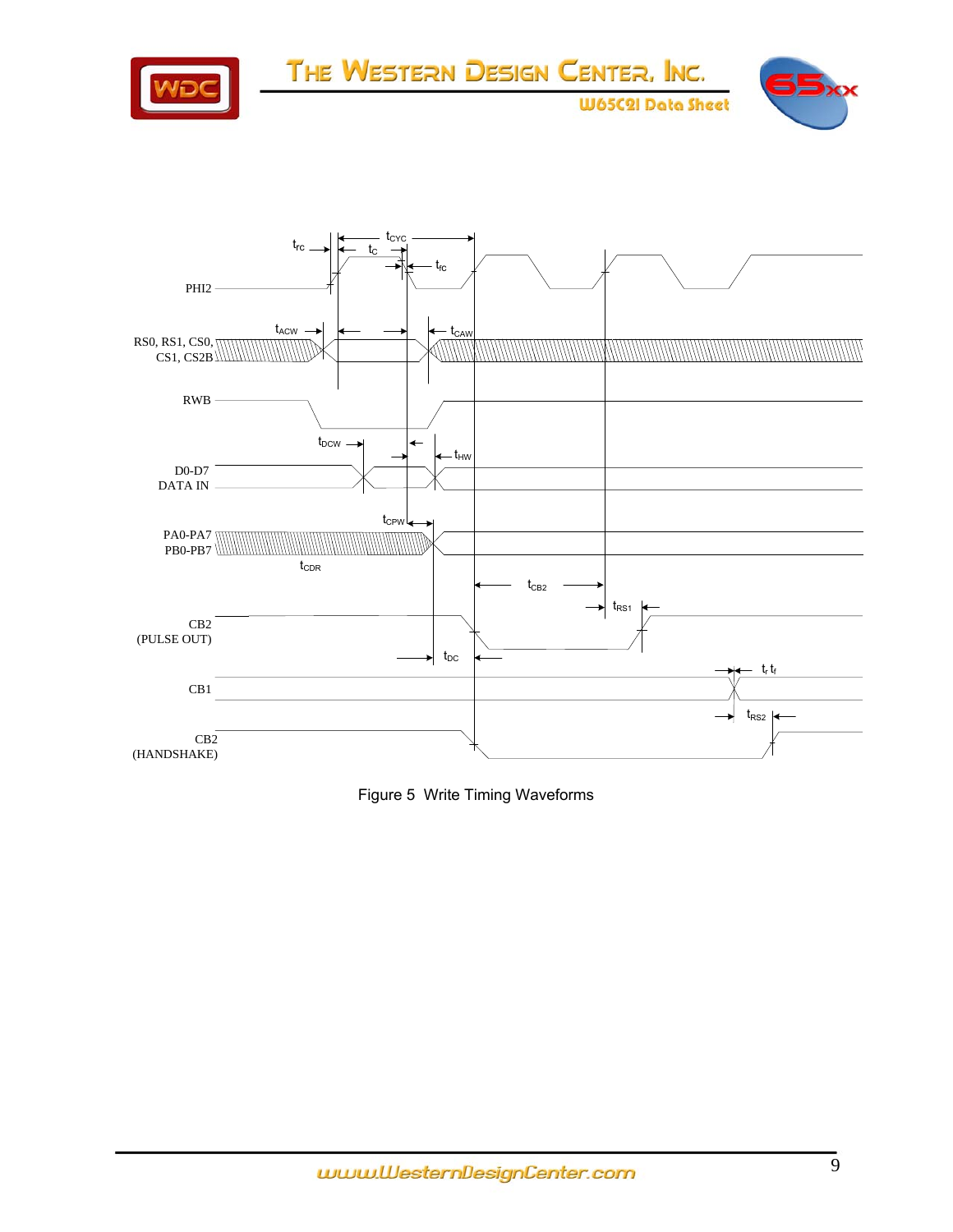



Figure 5 Write Timing Waveforms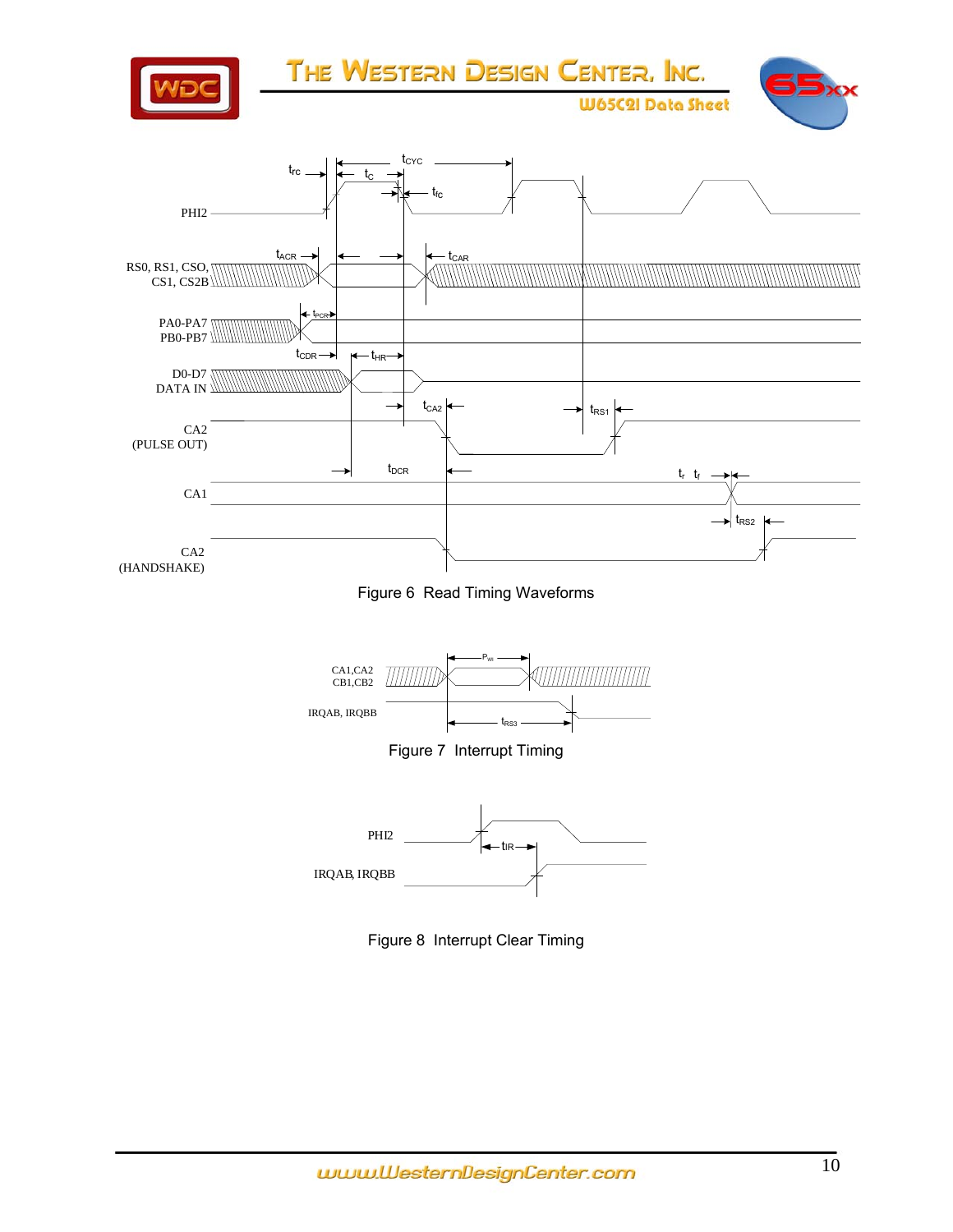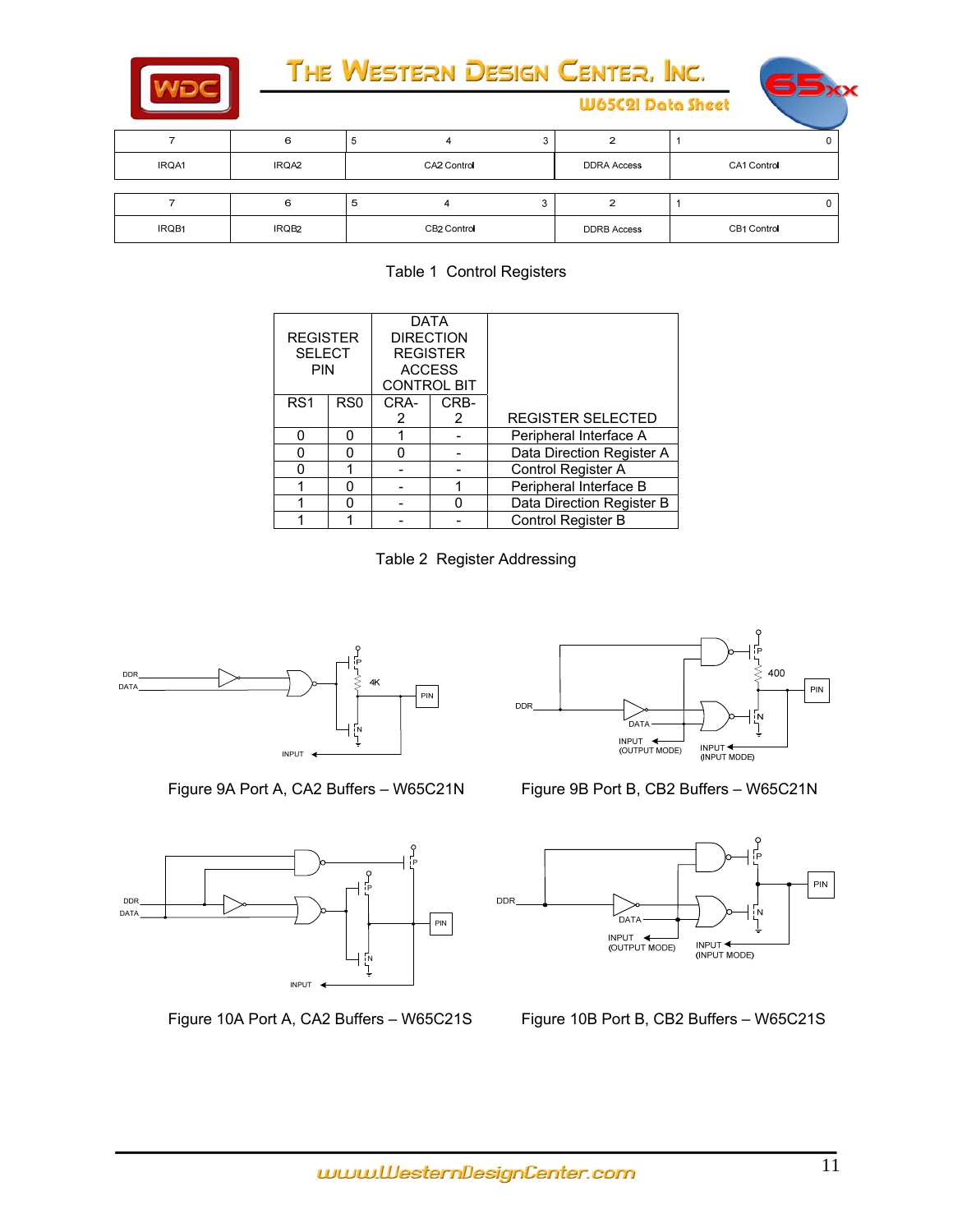



|       |       | ◡           |   |                    |             |  |
|-------|-------|-------------|---|--------------------|-------------|--|
| IRQA1 | IRQA2 | CA2 Control |   | <b>DDRA Access</b> | CA1 Control |  |
|       |       |             |   |                    |             |  |
|       |       | ঌ           | ه |                    |             |  |
| IRQB1 | IRQB2 | CB2 Control |   | <b>DDRB</b> Access | CB1 Control |  |

Table 1 Control Registers

| <b>REGISTER</b><br><b>SELECT</b><br><b>PIN</b> |                 | <b>DATA</b><br><b>DIRECTION</b><br><b>REGISTER</b><br><b>ACCESS</b><br><b>CONTROL BIT</b> |      |                           |
|------------------------------------------------|-----------------|-------------------------------------------------------------------------------------------|------|---------------------------|
| RS <sub>1</sub>                                | R <sub>S0</sub> | CRA-                                                                                      | CRB- |                           |
|                                                |                 | 2                                                                                         | 2    | <b>REGISTER SELECTED</b>  |
|                                                |                 |                                                                                           |      | Peripheral Interface A    |
| O                                              |                 | n                                                                                         |      | Data Direction Register A |
|                                                |                 |                                                                                           |      | Control Register A        |
|                                                |                 |                                                                                           |      | Peripheral Interface B    |
|                                                |                 |                                                                                           | n    | Data Direction Register B |
|                                                |                 |                                                                                           |      | <b>Control Register B</b> |

Table 2 Register Addressing







**W65C2I Data Sheet** 

Figure 9A Port A, CA2 Buffers - W65C21N Figure 9B Port B, CB2 Buffers - W65C21N



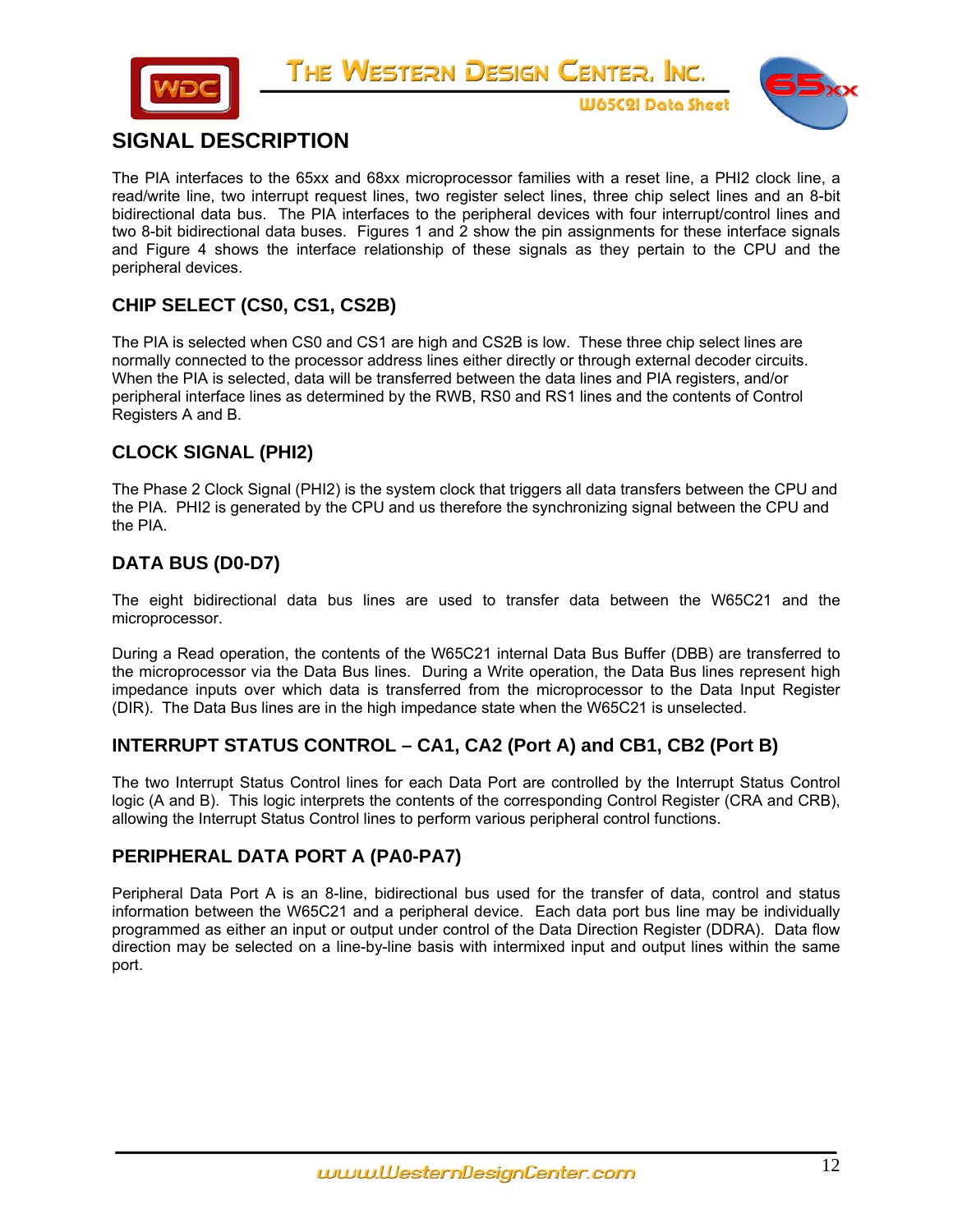



**W65C2I Data Sheet** 

# **SIGNAL DESCRIPTION**

The PIA interfaces to the 65xx and 68xx microprocessor families with a reset line, a PHI2 clock line, a read/write line, two interrupt request lines, two register select lines, three chip select lines and an 8-bit bidirectional data bus. The PIA interfaces to the peripheral devices with four interrupt/control lines and two 8-bit bidirectional data buses. Figures 1 and 2 show the pin assignments for these interface signals and Figure 4 shows the interface relationship of these signals as they pertain to the CPU and the peripheral devices.

# **CHIP SELECT (CS0, CS1, CS2B)**

The PIA is selected when CS0 and CS1 are high and CS2B is low. These three chip select lines are normally connected to the processor address lines either directly or through external decoder circuits. When the PIA is selected, data will be transferred between the data lines and PIA registers, and/or peripheral interface lines as determined by the RWB, RS0 and RS1 lines and the contents of Control Registers A and B.

# **CLOCK SIGNAL (PHI2)**

The Phase 2 Clock Signal (PHI2) is the system clock that triggers all data transfers between the CPU and the PIA. PHI2 is generated by the CPU and us therefore the synchronizing signal between the CPU and the PIA.

# **DATA BUS (D0-D7)**

The eight bidirectional data bus lines are used to transfer data between the W65C21 and the microprocessor.

During a Read operation, the contents of the W65C21 internal Data Bus Buffer (DBB) are transferred to the microprocessor via the Data Bus lines. During a Write operation, the Data Bus lines represent high impedance inputs over which data is transferred from the microprocessor to the Data Input Register (DIR). The Data Bus lines are in the high impedance state when the W65C21 is unselected.

# **INTERRUPT STATUS CONTROL – CA1, CA2 (Port A) and CB1, CB2 (Port B)**

The two Interrupt Status Control lines for each Data Port are controlled by the Interrupt Status Control logic (A and B). This logic interprets the contents of the corresponding Control Register (CRA and CRB), allowing the Interrupt Status Control lines to perform various peripheral control functions.

### **PERIPHERAL DATA PORT A (PA0-PA7)**

Peripheral Data Port A is an 8-line, bidirectional bus used for the transfer of data, control and status information between the W65C21 and a peripheral device. Each data port bus line may be individually programmed as either an input or output under control of the Data Direction Register (DDRA). Data flow direction may be selected on a line-by-line basis with intermixed input and output lines within the same port.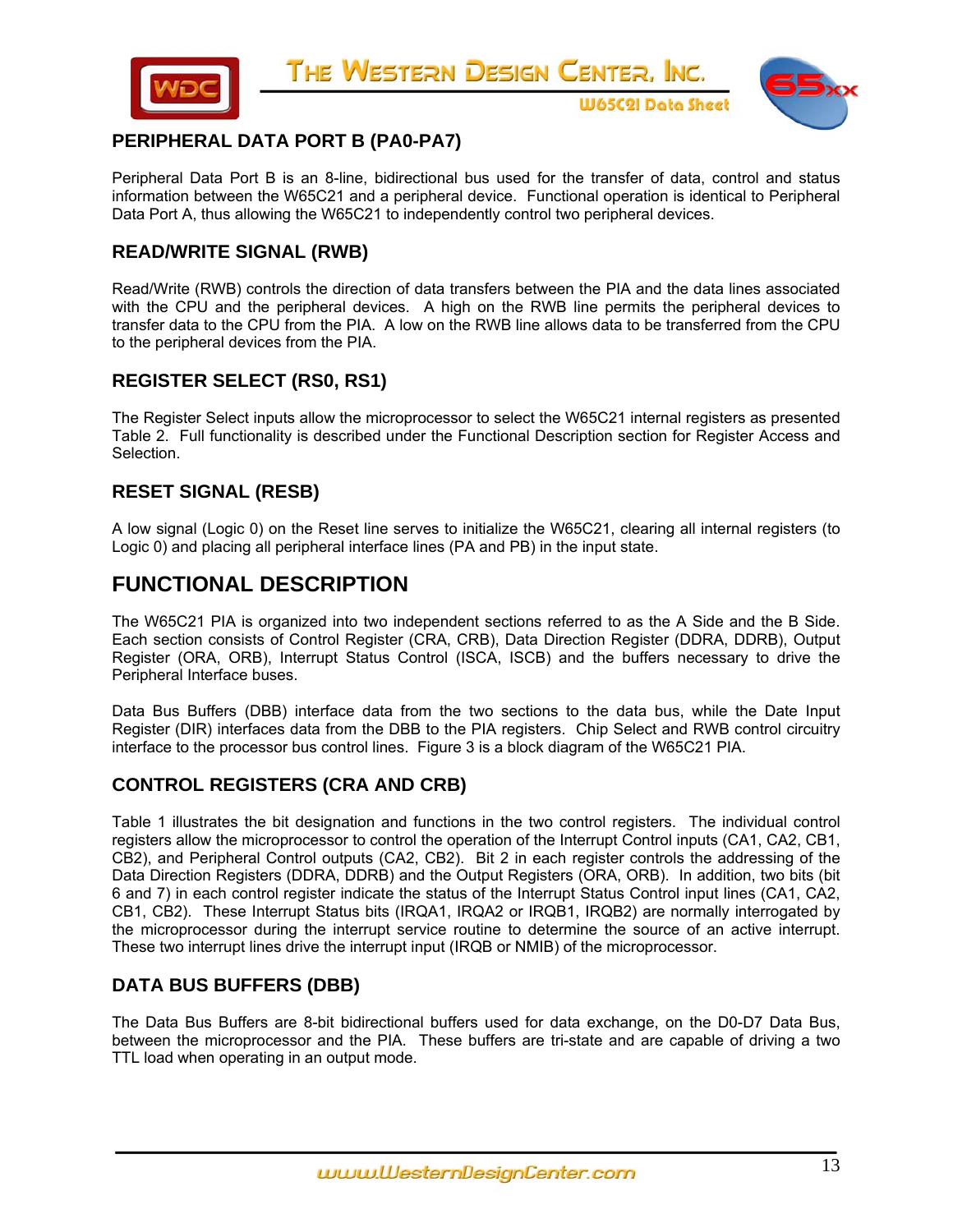



**W65C2I Data Sheet** 

## **PERIPHERAL DATA PORT B (PA0-PA7)**

Peripheral Data Port B is an 8-line, bidirectional bus used for the transfer of data, control and status information between the W65C21 and a peripheral device. Functional operation is identical to Peripheral Data Port A, thus allowing the W65C21 to independently control two peripheral devices.

### **READ/WRITE SIGNAL (RWB)**

Read/Write (RWB) controls the direction of data transfers between the PIA and the data lines associated with the CPU and the peripheral devices. A high on the RWB line permits the peripheral devices to transfer data to the CPU from the PIA. A low on the RWB line allows data to be transferred from the CPU to the peripheral devices from the PIA.

### **REGISTER SELECT (RS0, RS1)**

The Register Select inputs allow the microprocessor to select the W65C21 internal registers as presented Table 2. Full functionality is described under the Functional Description section for Register Access and Selection.

## **RESET SIGNAL (RESB)**

A low signal (Logic 0) on the Reset line serves to initialize the W65C21, clearing all internal registers (to Logic 0) and placing all peripheral interface lines (PA and PB) in the input state.

# **FUNCTIONAL DESCRIPTION**

The W65C21 PIA is organized into two independent sections referred to as the A Side and the B Side. Each section consists of Control Register (CRA, CRB), Data Direction Register (DDRA, DDRB), Output Register (ORA, ORB), Interrupt Status Control (ISCA, ISCB) and the buffers necessary to drive the Peripheral Interface buses.

Data Bus Buffers (DBB) interface data from the two sections to the data bus, while the Date Input Register (DIR) interfaces data from the DBB to the PIA registers. Chip Select and RWB control circuitry interface to the processor bus control lines. Figure 3 is a block diagram of the W65C21 PIA.

### **CONTROL REGISTERS (CRA AND CRB)**

Table 1 illustrates the bit designation and functions in the two control registers. The individual control registers allow the microprocessor to control the operation of the Interrupt Control inputs (CA1, CA2, CB1, CB2), and Peripheral Control outputs (CA2, CB2). Bit 2 in each register controls the addressing of the Data Direction Registers (DDRA, DDRB) and the Output Registers (ORA, ORB). In addition, two bits (bit 6 and 7) in each control register indicate the status of the Interrupt Status Control input lines (CA1, CA2, CB1, CB2). These Interrupt Status bits (IRQA1, IRQA2 or IRQB1, IRQB2) are normally interrogated by the microprocessor during the interrupt service routine to determine the source of an active interrupt. These two interrupt lines drive the interrupt input (IRQB or NMIB) of the microprocessor.

### **DATA BUS BUFFERS (DBB)**

The Data Bus Buffers are 8-bit bidirectional buffers used for data exchange, on the D0-D7 Data Bus, between the microprocessor and the PIA. These buffers are tri-state and are capable of driving a two TTL load when operating in an output mode.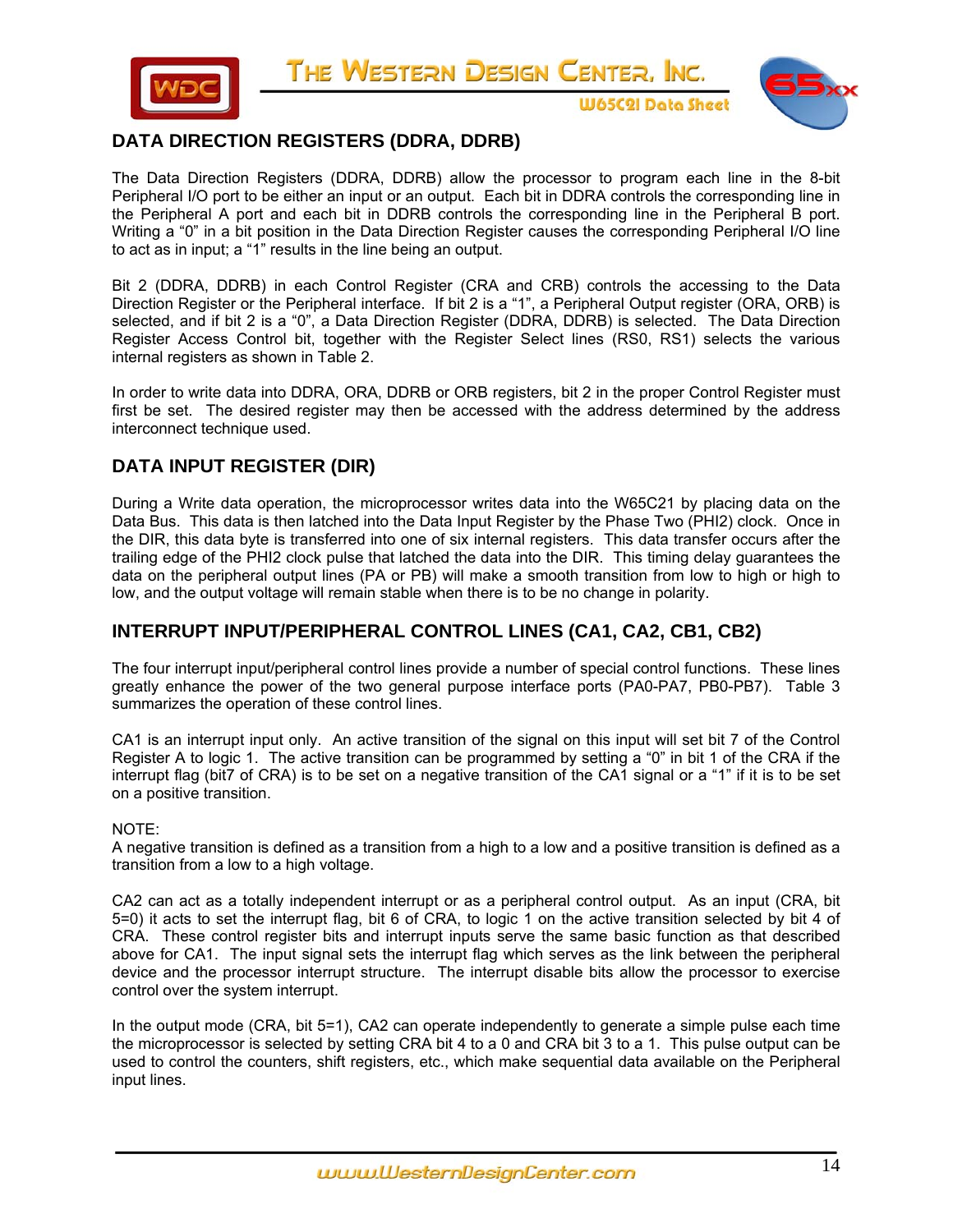



**W65C2I Data Sheet** 

## **DATA DIRECTION REGISTERS (DDRA, DDRB)**

The Data Direction Registers (DDRA, DDRB) allow the processor to program each line in the 8-bit Peripheral I/O port to be either an input or an output. Each bit in DDRA controls the corresponding line in the Peripheral A port and each bit in DDRB controls the corresponding line in the Peripheral B port. Writing a "0" in a bit position in the Data Direction Register causes the corresponding Peripheral I/O line to act as in input; a "1" results in the line being an output.

Bit 2 (DDRA, DDRB) in each Control Register (CRA and CRB) controls the accessing to the Data Direction Register or the Peripheral interface. If bit 2 is a "1", a Peripheral Output register (ORA, ORB) is selected, and if bit 2 is a "0", a Data Direction Register (DDRA, DDRB) is selected. The Data Direction Register Access Control bit, together with the Register Select lines (RS0, RS1) selects the various internal registers as shown in Table 2.

In order to write data into DDRA, ORA, DDRB or ORB registers, bit 2 in the proper Control Register must first be set. The desired register may then be accessed with the address determined by the address interconnect technique used.

## **DATA INPUT REGISTER (DIR)**

During a Write data operation, the microprocessor writes data into the W65C21 by placing data on the Data Bus. This data is then latched into the Data Input Register by the Phase Two (PHI2) clock. Once in the DIR, this data byte is transferred into one of six internal registers. This data transfer occurs after the trailing edge of the PHI2 clock pulse that latched the data into the DIR. This timing delay guarantees the data on the peripheral output lines (PA or PB) will make a smooth transition from low to high or high to low, and the output voltage will remain stable when there is to be no change in polarity.

### **INTERRUPT INPUT/PERIPHERAL CONTROL LINES (CA1, CA2, CB1, CB2)**

The four interrupt input/peripheral control lines provide a number of special control functions. These lines greatly enhance the power of the two general purpose interface ports (PA0-PA7, PB0-PB7). Table 3 summarizes the operation of these control lines.

CA1 is an interrupt input only. An active transition of the signal on this input will set bit 7 of the Control Register A to logic 1. The active transition can be programmed by setting a "0" in bit 1 of the CRA if the interrupt flag (bit7 of CRA) is to be set on a negative transition of the CA1 signal or a "1" if it is to be set on a positive transition.

#### NOTE:

A negative transition is defined as a transition from a high to a low and a positive transition is defined as a transition from a low to a high voltage.

CA2 can act as a totally independent interrupt or as a peripheral control output. As an input (CRA, bit 5=0) it acts to set the interrupt flag, bit 6 of CRA, to logic 1 on the active transition selected by bit 4 of CRA. These control register bits and interrupt inputs serve the same basic function as that described above for CA1. The input signal sets the interrupt flag which serves as the link between the peripheral device and the processor interrupt structure. The interrupt disable bits allow the processor to exercise control over the system interrupt.

In the output mode (CRA, bit 5=1), CA2 can operate independently to generate a simple pulse each time the microprocessor is selected by setting CRA bit 4 to a 0 and CRA bit 3 to a 1. This pulse output can be used to control the counters, shift registers, etc., which make sequential data available on the Peripheral input lines.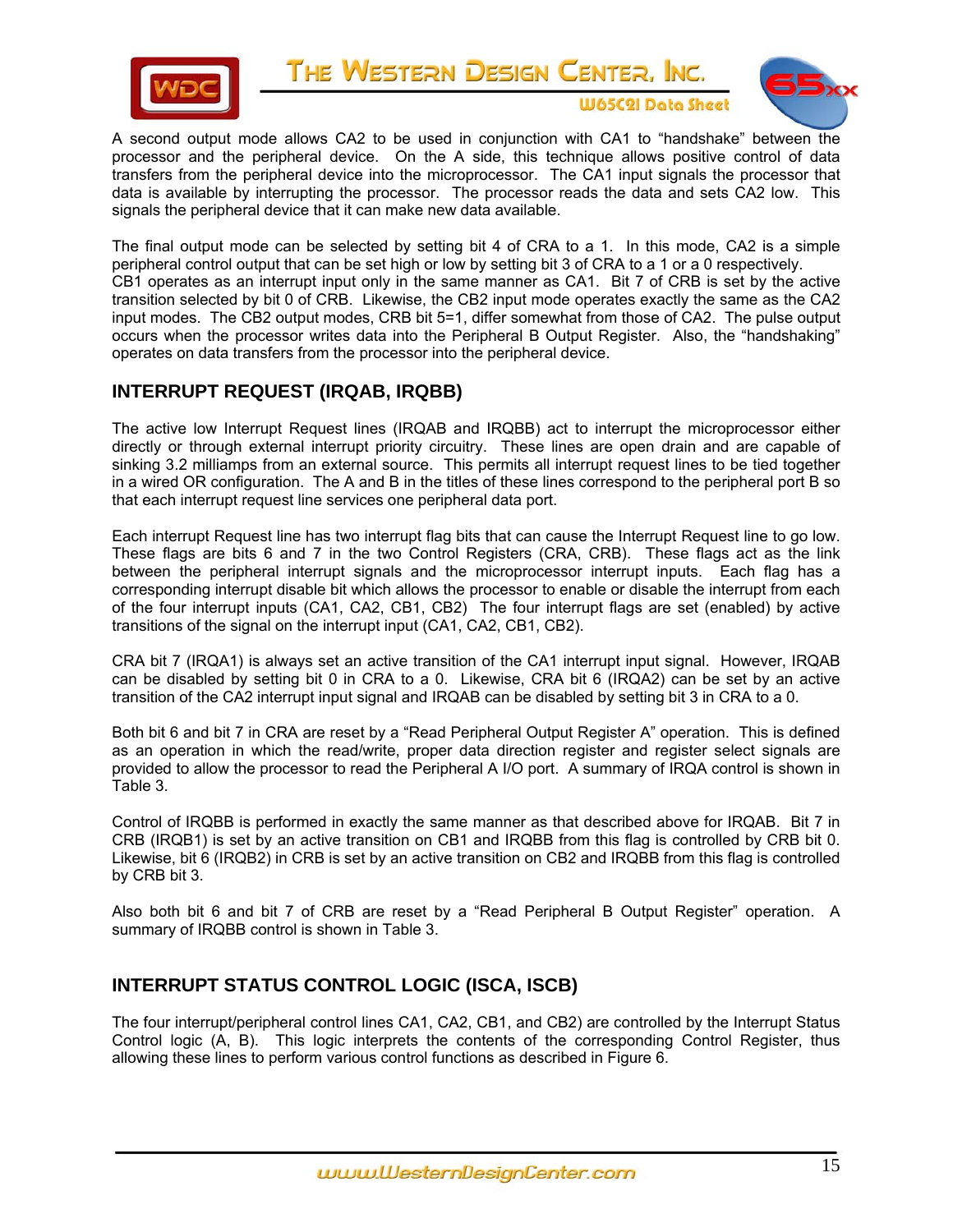

THE WESTERN DESIGN CENTER, INC. **W65C2I Data Sheet** 



A second output mode allows CA2 to be used in conjunction with CA1 to "handshake" between the processor and the peripheral device. On the A side, this technique allows positive control of data transfers from the peripheral device into the microprocessor. The CA1 input signals the processor that data is available by interrupting the processor. The processor reads the data and sets CA2 low. This signals the peripheral device that it can make new data available.

The final output mode can be selected by setting bit 4 of CRA to a 1. In this mode, CA2 is a simple peripheral control output that can be set high or low by setting bit 3 of CRA to a 1 or a 0 respectively. CB1 operates as an interrupt input only in the same manner as CA1. Bit 7 of CRB is set by the active transition selected by bit 0 of CRB. Likewise, the CB2 input mode operates exactly the same as the CA2 input modes. The CB2 output modes, CRB bit 5=1, differ somewhat from those of CA2. The pulse output occurs when the processor writes data into the Peripheral B Output Register. Also, the "handshaking" operates on data transfers from the processor into the peripheral device.

## **INTERRUPT REQUEST (IRQAB, IRQBB)**

The active low Interrupt Request lines (IRQAB and IRQBB) act to interrupt the microprocessor either directly or through external interrupt priority circuitry. These lines are open drain and are capable of sinking 3.2 milliamps from an external source. This permits all interrupt request lines to be tied together in a wired OR configuration. The A and B in the titles of these lines correspond to the peripheral port B so that each interrupt request line services one peripheral data port.

Each interrupt Request line has two interrupt flag bits that can cause the Interrupt Request line to go low. These flags are bits 6 and 7 in the two Control Registers (CRA, CRB). These flags act as the link between the peripheral interrupt signals and the microprocessor interrupt inputs. Each flag has a corresponding interrupt disable bit which allows the processor to enable or disable the interrupt from each of the four interrupt inputs (CA1, CA2, CB1, CB2) The four interrupt flags are set (enabled) by active transitions of the signal on the interrupt input (CA1, CA2, CB1, CB2).

CRA bit 7 (IRQA1) is always set an active transition of the CA1 interrupt input signal. However, IRQAB can be disabled by setting bit 0 in CRA to a 0. Likewise, CRA bit 6 (IRQA2) can be set by an active transition of the CA2 interrupt input signal and IRQAB can be disabled by setting bit 3 in CRA to a 0.

Both bit 6 and bit 7 in CRA are reset by a "Read Peripheral Output Register A" operation. This is defined as an operation in which the read/write, proper data direction register and register select signals are provided to allow the processor to read the Peripheral A I/O port. A summary of IRQA control is shown in Table 3.

Control of IRQBB is performed in exactly the same manner as that described above for IRQAB. Bit 7 in CRB (IRQB1) is set by an active transition on CB1 and IRQBB from this flag is controlled by CRB bit 0. Likewise, bit 6 (IRQB2) in CRB is set by an active transition on CB2 and IRQBB from this flag is controlled by CRB bit 3.

Also both bit 6 and bit 7 of CRB are reset by a "Read Peripheral B Output Register" operation. A summary of IRQBB control is shown in Table 3.

# **INTERRUPT STATUS CONTROL LOGIC (ISCA, ISCB)**

The four interrupt/peripheral control lines CA1, CA2, CB1, and CB2) are controlled by the Interrupt Status Control logic (A, B). This logic interprets the contents of the corresponding Control Register, thus allowing these lines to perform various control functions as described in Figure 6.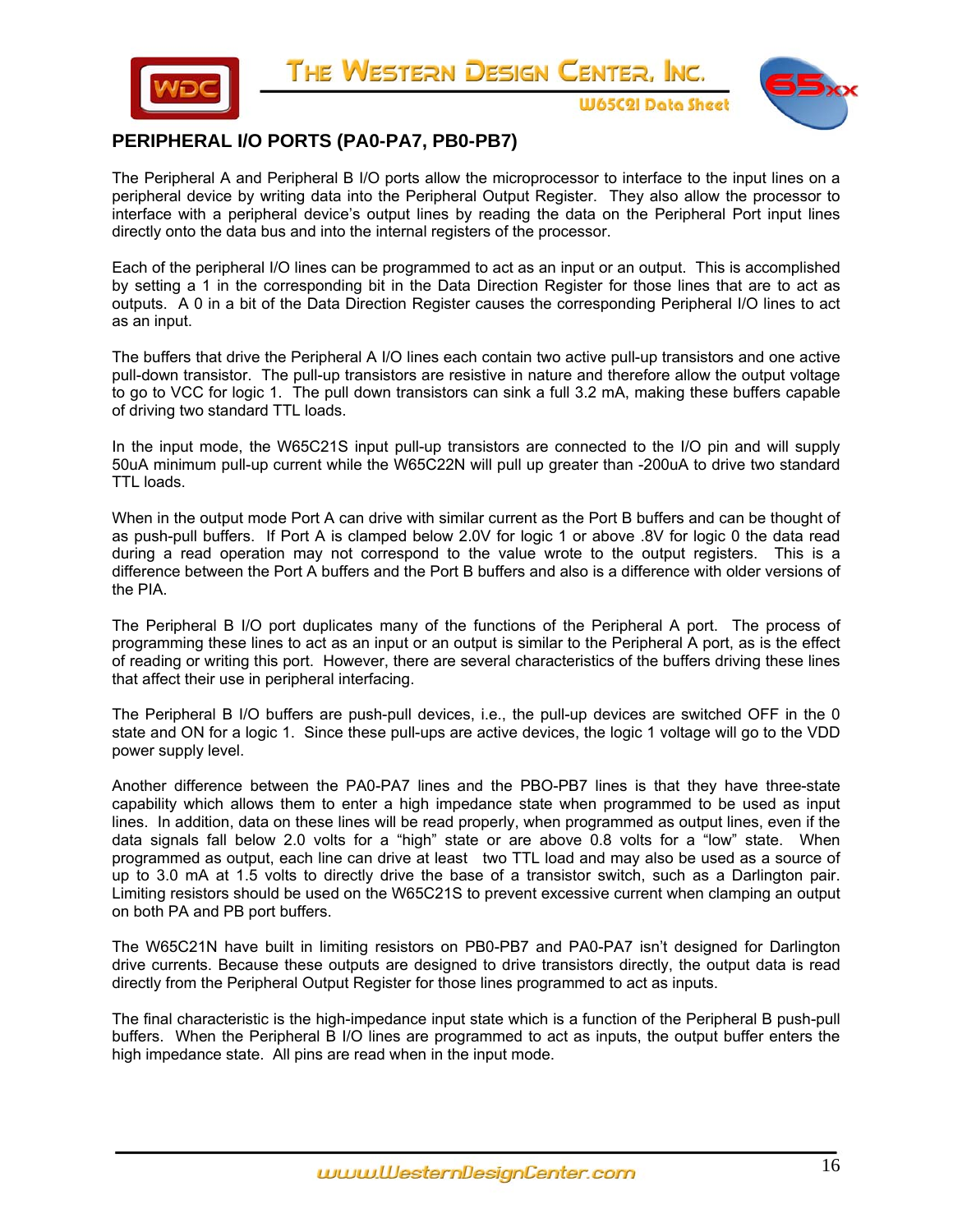



**W65C2I Data Sheet** 

## **PERIPHERAL I/O PORTS (PA0-PA7, PB0-PB7)**

The Peripheral A and Peripheral B I/O ports allow the microprocessor to interface to the input lines on a peripheral device by writing data into the Peripheral Output Register. They also allow the processor to interface with a peripheral device's output lines by reading the data on the Peripheral Port input lines directly onto the data bus and into the internal registers of the processor.

Each of the peripheral I/O lines can be programmed to act as an input or an output. This is accomplished by setting a 1 in the corresponding bit in the Data Direction Register for those lines that are to act as outputs. A 0 in a bit of the Data Direction Register causes the corresponding Peripheral I/O lines to act as an input.

The buffers that drive the Peripheral A I/O lines each contain two active pull-up transistors and one active pull-down transistor. The pull-up transistors are resistive in nature and therefore allow the output voltage to go to VCC for logic 1. The pull down transistors can sink a full 3.2 mA, making these buffers capable of driving two standard TTL loads.

In the input mode, the W65C21S input pull-up transistors are connected to the I/O pin and will supply 50uA minimum pull-up current while the W65C22N will pull up greater than -200uA to drive two standard TTL loads.

When in the output mode Port A can drive with similar current as the Port B buffers and can be thought of as push-pull buffers. If Port A is clamped below 2.0V for logic 1 or above .8V for logic 0 the data read during a read operation may not correspond to the value wrote to the output registers. This is a difference between the Port A buffers and the Port B buffers and also is a difference with older versions of the PIA.

The Peripheral B I/O port duplicates many of the functions of the Peripheral A port. The process of programming these lines to act as an input or an output is similar to the Peripheral A port, as is the effect of reading or writing this port. However, there are several characteristics of the buffers driving these lines that affect their use in peripheral interfacing.

The Peripheral B I/O buffers are push-pull devices, i.e., the pull-up devices are switched OFF in the 0 state and ON for a logic 1. Since these pull-ups are active devices, the logic 1 voltage will go to the VDD power supply level.

Another difference between the PA0-PA7 lines and the PBO-PB7 lines is that they have three-state capability which allows them to enter a high impedance state when programmed to be used as input lines. In addition, data on these lines will be read properly, when programmed as output lines, even if the data signals fall below 2.0 volts for a "high" state or are above 0.8 volts for a "low" state. When programmed as output, each line can drive at least two TTL load and may also be used as a source of up to 3.0 mA at 1.5 volts to directly drive the base of a transistor switch, such as a Darlington pair. Limiting resistors should be used on the W65C21S to prevent excessive current when clamping an output on both PA and PB port buffers.

The W65C21N have built in limiting resistors on PB0-PB7 and PA0-PA7 isn't designed for Darlington drive currents. Because these outputs are designed to drive transistors directly, the output data is read directly from the Peripheral Output Register for those lines programmed to act as inputs.

The final characteristic is the high-impedance input state which is a function of the Peripheral B push-pull buffers. When the Peripheral B I/O lines are programmed to act as inputs, the output buffer enters the high impedance state. All pins are read when in the input mode.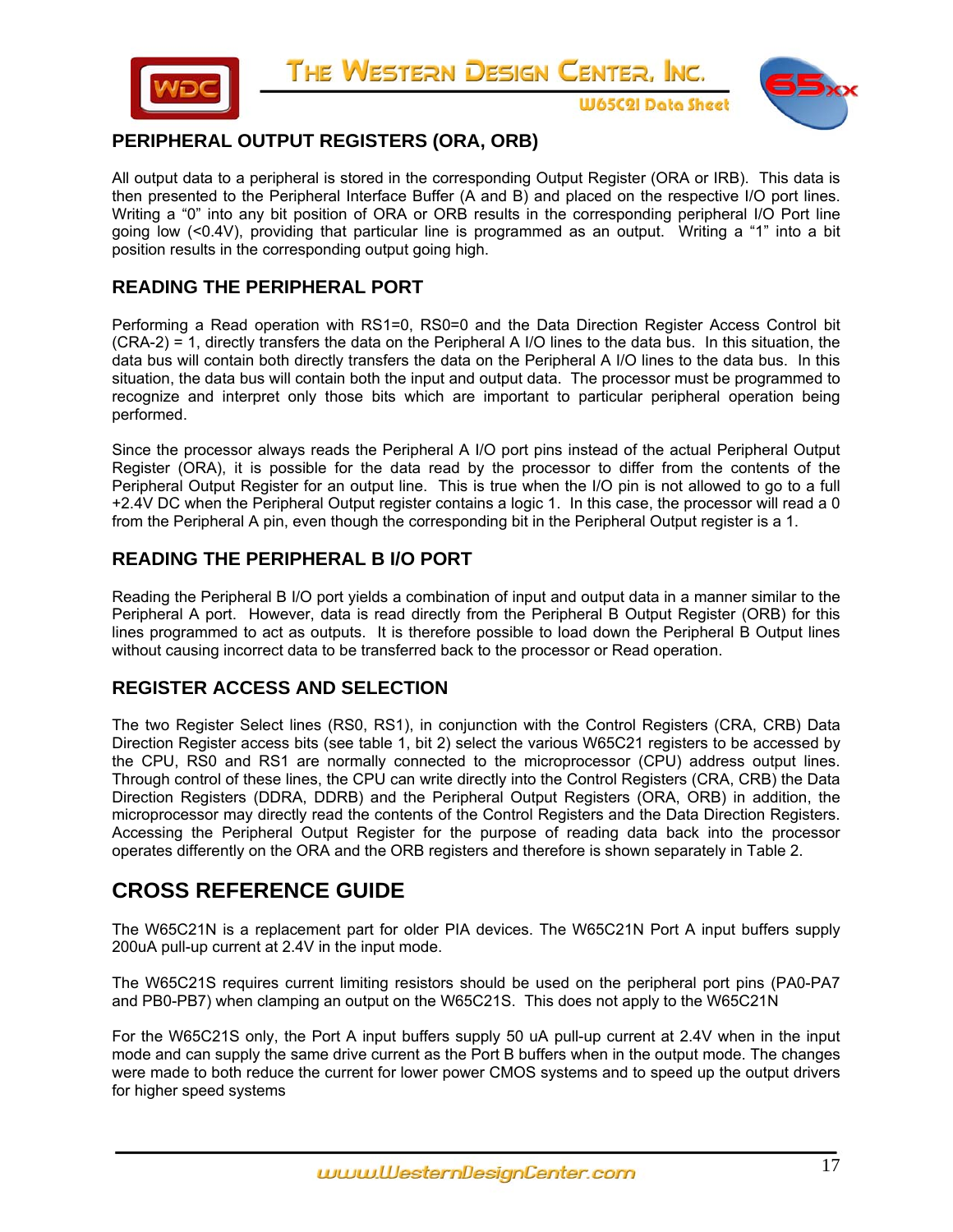



**W65C2I Data Sheet** 

# **PERIPHERAL OUTPUT REGISTERS (ORA, ORB)**

All output data to a peripheral is stored in the corresponding Output Register (ORA or IRB). This data is then presented to the Peripheral Interface Buffer (A and B) and placed on the respective I/O port lines. Writing a "0" into any bit position of ORA or ORB results in the corresponding peripheral I/O Port line going low (<0.4V), providing that particular line is programmed as an output. Writing a "1" into a bit position results in the corresponding output going high.

### **READING THE PERIPHERAL PORT**

Performing a Read operation with RS1=0, RS0=0 and the Data Direction Register Access Control bit (CRA-2) = 1, directly transfers the data on the Peripheral A I/O lines to the data bus. In this situation, the data bus will contain both directly transfers the data on the Peripheral A I/O lines to the data bus. In this situation, the data bus will contain both the input and output data. The processor must be programmed to recognize and interpret only those bits which are important to particular peripheral operation being performed.

Since the processor always reads the Peripheral A I/O port pins instead of the actual Peripheral Output Register (ORA), it is possible for the data read by the processor to differ from the contents of the Peripheral Output Register for an output line. This is true when the I/O pin is not allowed to go to a full +2.4V DC when the Peripheral Output register contains a logic 1. In this case, the processor will read a 0 from the Peripheral A pin, even though the corresponding bit in the Peripheral Output register is a 1.

### **READING THE PERIPHERAL B I/O PORT**

Reading the Peripheral B I/O port yields a combination of input and output data in a manner similar to the Peripheral A port. However, data is read directly from the Peripheral B Output Register (ORB) for this lines programmed to act as outputs. It is therefore possible to load down the Peripheral B Output lines without causing incorrect data to be transferred back to the processor or Read operation.

# **REGISTER ACCESS AND SELECTION**

The two Register Select lines (RS0, RS1), in conjunction with the Control Registers (CRA, CRB) Data Direction Register access bits (see table 1, bit 2) select the various W65C21 registers to be accessed by the CPU, RS0 and RS1 are normally connected to the microprocessor (CPU) address output lines. Through control of these lines, the CPU can write directly into the Control Registers (CRA, CRB) the Data Direction Registers (DDRA, DDRB) and the Peripheral Output Registers (ORA, ORB) in addition, the microprocessor may directly read the contents of the Control Registers and the Data Direction Registers. Accessing the Peripheral Output Register for the purpose of reading data back into the processor operates differently on the ORA and the ORB registers and therefore is shown separately in Table 2.

# **CROSS REFERENCE GUIDE**

The W65C21N is a replacement part for older PIA devices. The W65C21N Port A input buffers supply 200uA pull-up current at 2.4V in the input mode.

The W65C21S requires current limiting resistors should be used on the peripheral port pins (PA0-PA7 and PB0-PB7) when clamping an output on the W65C21S. This does not apply to the W65C21N

For the W65C21S only, the Port A input buffers supply 50 uA pull-up current at 2.4V when in the input mode and can supply the same drive current as the Port B buffers when in the output mode. The changes were made to both reduce the current for lower power CMOS systems and to speed up the output drivers for higher speed systems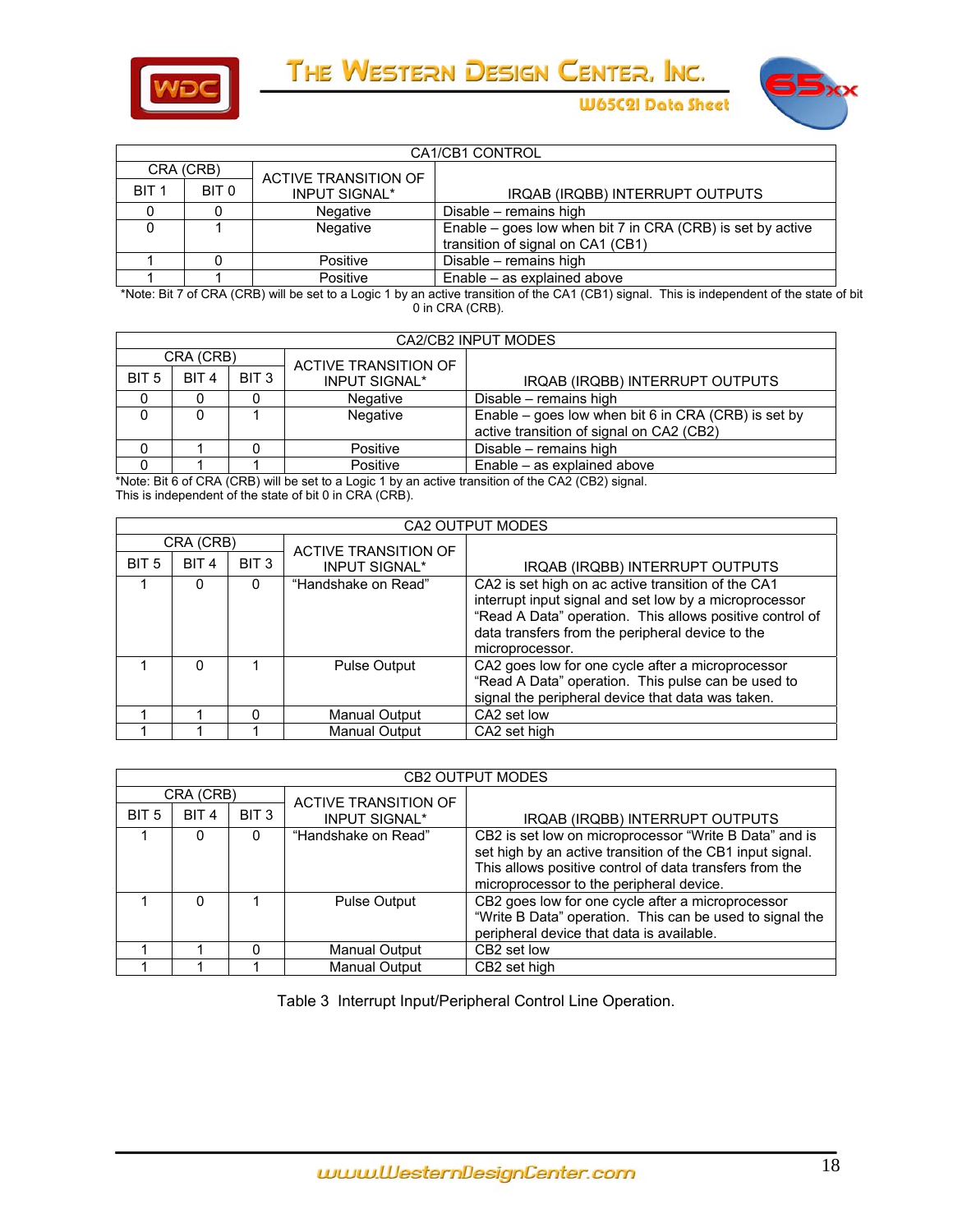



**W65C2I Data Sheet** 

|                  | CA1/CB1 CONTROL |                      |                                                                                                 |  |  |  |
|------------------|-----------------|----------------------|-------------------------------------------------------------------------------------------------|--|--|--|
| CRA (CRB)        |                 | ACTIVE TRANSITION OF |                                                                                                 |  |  |  |
| BIT <sub>1</sub> | BIT 0           | <b>INPUT SIGNAL*</b> | IRQAB (IRQBB) INTERRUPT OUTPUTS                                                                 |  |  |  |
|                  |                 | Negative             | Disable - remains high                                                                          |  |  |  |
|                  |                 | Negative             | Enable – goes low when bit 7 in CRA (CRB) is set by active<br>transition of signal on CA1 (CB1) |  |  |  |
|                  |                 | Positive             | Disable - remains high                                                                          |  |  |  |
|                  |                 | Positive             | Enable – as explained above                                                                     |  |  |  |

 \*Note: Bit 7 of CRA (CRB) will be set to a Logic 1 by an active transition of the CA1 (CB1) signal. This is independent of the state of bit 0 in CRA (CRB).

|                  | CA2/CB2 INPUT MODES |                  |                      |                                                                                                 |  |  |  |
|------------------|---------------------|------------------|----------------------|-------------------------------------------------------------------------------------------------|--|--|--|
| CRA (CRB)        |                     |                  | ACTIVE TRANSITION OF |                                                                                                 |  |  |  |
| BIT <sub>5</sub> | <b>BIT4</b>         | BIT <sub>3</sub> | <b>INPUT SIGNAL*</b> | IRQAB (IRQBB) INTERRUPT OUTPUTS                                                                 |  |  |  |
|                  |                     |                  | Negative             | Disable - remains high                                                                          |  |  |  |
|                  |                     |                  | Negative             | Enable – goes low when bit 6 in CRA (CRB) is set by<br>active transition of signal on CA2 (CB2) |  |  |  |
|                  |                     |                  | Positive             | Disable - remains high                                                                          |  |  |  |
|                  |                     |                  | Positive             | Enable – as explained above                                                                     |  |  |  |

\*Note: Bit 6 of CRA (CRB) will be set to a Logic 1 by an active transition of the CA2 (CB2) signal. This is independent of the state of bit 0 in CRA (CRB).

|                  | CA2 OUTPUT MODES |                  |                      |                                                                                                                                                                                                                                                 |  |  |  |
|------------------|------------------|------------------|----------------------|-------------------------------------------------------------------------------------------------------------------------------------------------------------------------------------------------------------------------------------------------|--|--|--|
|                  | CRA (CRB)        |                  | ACTIVE TRANSITION OF |                                                                                                                                                                                                                                                 |  |  |  |
| BIT <sub>5</sub> | BIT <sub>4</sub> | BIT <sub>3</sub> | <b>INPUT SIGNAL*</b> | IRQAB (IRQBB) INTERRUPT OUTPUTS                                                                                                                                                                                                                 |  |  |  |
|                  | <sup>0</sup>     | 0                | "Handshake on Read"  | CA2 is set high on ac active transition of the CA1<br>interrupt input signal and set low by a microprocessor<br>"Read A Data" operation. This allows positive control of<br>data transfers from the peripheral device to the<br>microprocessor. |  |  |  |
|                  | <sup>0</sup>     |                  | <b>Pulse Output</b>  | CA2 goes low for one cycle after a microprocessor<br>"Read A Data" operation. This pulse can be used to<br>signal the peripheral device that data was taken.                                                                                    |  |  |  |
|                  |                  | $\Omega$         | Manual Output        | CA2 set low                                                                                                                                                                                                                                     |  |  |  |
|                  |                  |                  | <b>Manual Output</b> | CA2 set high                                                                                                                                                                                                                                    |  |  |  |

| <b>CB2 OUTPUT MODES</b> |                  |                  |                      |                                                                                                                                                                                                                            |  |  |  |  |
|-------------------------|------------------|------------------|----------------------|----------------------------------------------------------------------------------------------------------------------------------------------------------------------------------------------------------------------------|--|--|--|--|
| CRA (CRB)               |                  |                  | ACTIVE TRANSITION OF |                                                                                                                                                                                                                            |  |  |  |  |
| BIT <sub>5</sub>        | BIT <sub>4</sub> | BIT <sub>3</sub> | <b>INPUT SIGNAL*</b> | IRQAB (IRQBB) INTERRUPT OUTPUTS                                                                                                                                                                                            |  |  |  |  |
|                         |                  | 0                | "Handshake on Read"  | CB2 is set low on microprocessor "Write B Data" and is<br>set high by an active transition of the CB1 input signal.<br>This allows positive control of data transfers from the<br>microprocessor to the peripheral device. |  |  |  |  |
|                         | O                |                  | <b>Pulse Output</b>  | CB2 goes low for one cycle after a microprocessor<br>"Write B Data" operation. This can be used to signal the<br>peripheral device that data is available.                                                                 |  |  |  |  |
|                         |                  | 0                | <b>Manual Output</b> | CB2 set low                                                                                                                                                                                                                |  |  |  |  |
|                         |                  |                  | <b>Manual Output</b> | CB2 set high                                                                                                                                                                                                               |  |  |  |  |

Table 3 Interrupt Input/Peripheral Control Line Operation.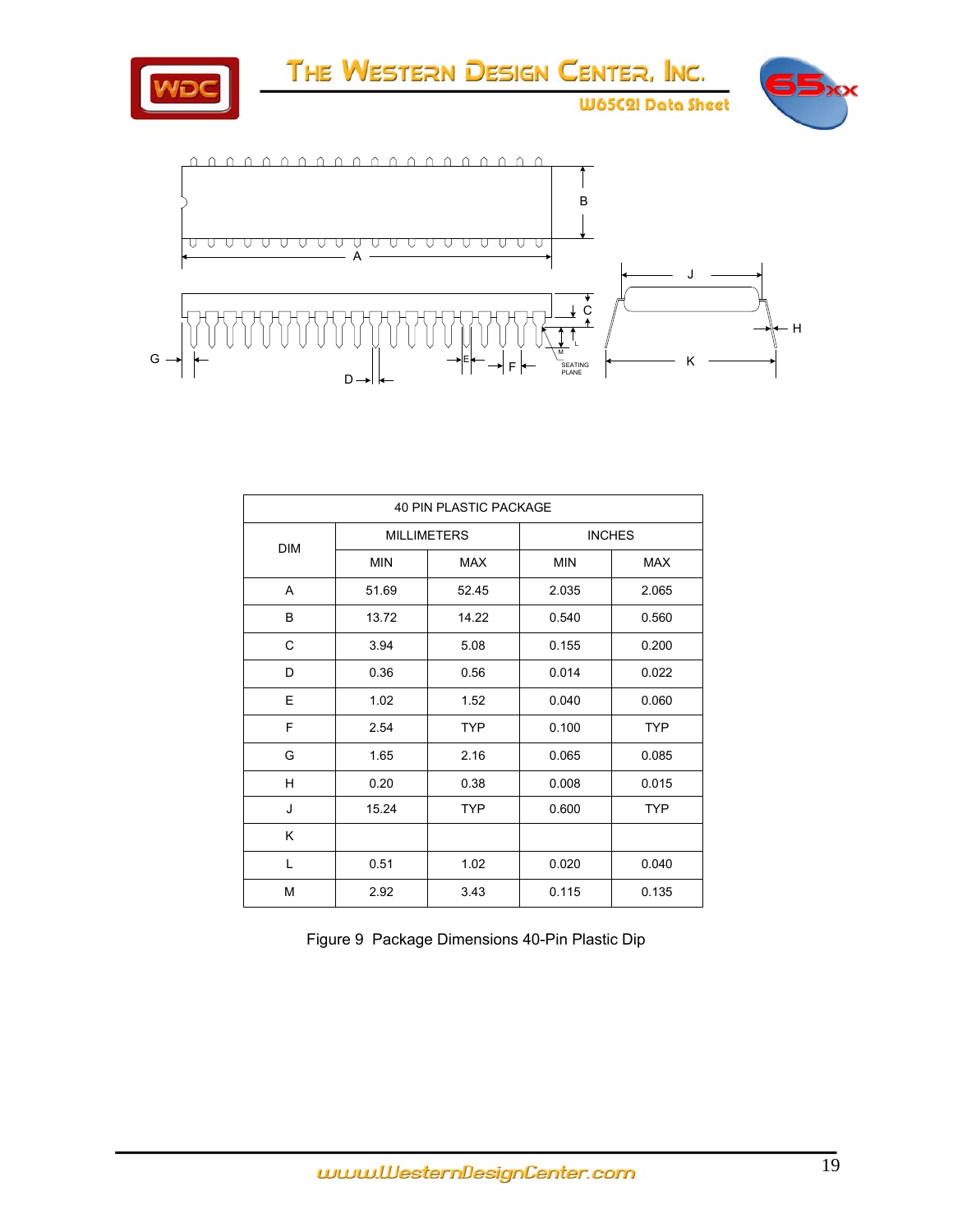

| <b>40 PIN PLASTIC PACKAGE</b> |                    |            |               |            |  |  |  |
|-------------------------------|--------------------|------------|---------------|------------|--|--|--|
| <b>DIM</b>                    | <b>MILLIMETERS</b> |            | <b>INCHES</b> |            |  |  |  |
|                               | <b>MIN</b>         | <b>MAX</b> | <b>MIN</b>    | <b>MAX</b> |  |  |  |
| A                             | 51.69              | 52.45      | 2.035         | 2.065      |  |  |  |
| B                             | 13.72              | 14.22      | 0.540         | 0.560      |  |  |  |
| C                             | 3.94               | 5.08       | 0.155         | 0.200      |  |  |  |
| D                             | 0.36               | 0.56       | 0.014         | 0.022      |  |  |  |
| E                             | 1.02               | 1.52       | 0.040         | 0.060      |  |  |  |
| F                             | 2.54               | <b>TYP</b> | 0.100         | <b>TYP</b> |  |  |  |
| G                             | 1.65               | 2.16       | 0.065         | 0.085      |  |  |  |
| н                             | 0.20               | 0.38       | 0.008         | 0.015      |  |  |  |
| J                             | 15.24              | <b>TYP</b> | 0.600         | <b>TYP</b> |  |  |  |
| Κ                             |                    |            |               |            |  |  |  |
| L                             | 0.51               | 1.02       | 0.020         | 0.040      |  |  |  |
| M                             | 2.92               | 3.43       | 0.115         | 0.135      |  |  |  |

Figure 9 Package Dimensions 40-Pin Plastic Dip